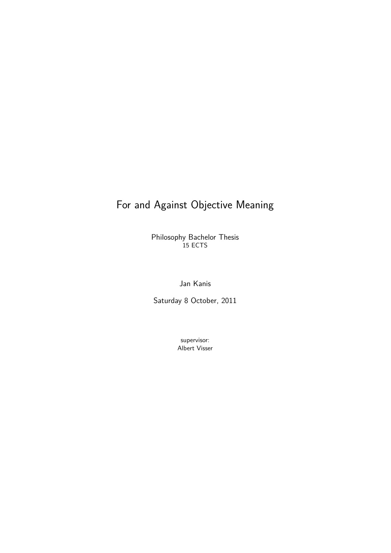## For and Against Objective Meaning

Philosophy Bachelor Thesis 15 ECTS

Jan Kanis

Saturday 8 October, 2011

supervisor: Albert Visser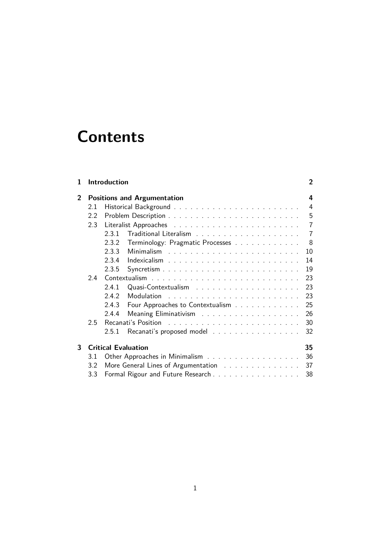# **Contents**

| 1              |     | Introduction                                                                                                                                                                                                                                                      | 2              |
|----------------|-----|-------------------------------------------------------------------------------------------------------------------------------------------------------------------------------------------------------------------------------------------------------------------|----------------|
| $\overline{2}$ |     | <b>Positions and Argumentation</b>                                                                                                                                                                                                                                | 4              |
|                | 2.1 |                                                                                                                                                                                                                                                                   | 4              |
|                | 2.2 |                                                                                                                                                                                                                                                                   | 5              |
|                | 2.3 |                                                                                                                                                                                                                                                                   | 7              |
|                |     | 2.3.1                                                                                                                                                                                                                                                             | $\overline{7}$ |
|                |     | 2.3.2<br>Terminology: Pragmatic Processes                                                                                                                                                                                                                         | 8              |
|                |     | 2.3.3<br>10<br>Minimalism                                                                                                                                                                                                                                         |                |
|                |     | 2.3.4<br>14                                                                                                                                                                                                                                                       |                |
|                |     | 19<br>2.3.5                                                                                                                                                                                                                                                       |                |
|                | 2.4 | 23                                                                                                                                                                                                                                                                |                |
|                |     | 23<br>2.4.1                                                                                                                                                                                                                                                       |                |
|                |     | 23<br>2.4.2<br><b>Modulation</b><br>and a construction of the construction of the construction of the construction of the construction of the construction of the construction of the construction of the construction of the construction of the construction of |                |
|                |     | 2.4.3<br>25<br>Four Approaches to Contextualism                                                                                                                                                                                                                   |                |
|                |     | 26<br>2.4.4                                                                                                                                                                                                                                                       |                |
|                | 2.5 | 30                                                                                                                                                                                                                                                                |                |
|                |     | Recanati's proposed model<br>32<br>2.5.1                                                                                                                                                                                                                          |                |
| 3              |     | <b>Critical Evaluation</b><br>35                                                                                                                                                                                                                                  |                |
|                | 3.1 | Other Approaches in Minimalism<br>36                                                                                                                                                                                                                              |                |
|                | 3.2 | 37<br>More General Lines of Argumentation                                                                                                                                                                                                                         |                |
|                | 3.3 | Formal Rigour and Future Research<br>38                                                                                                                                                                                                                           |                |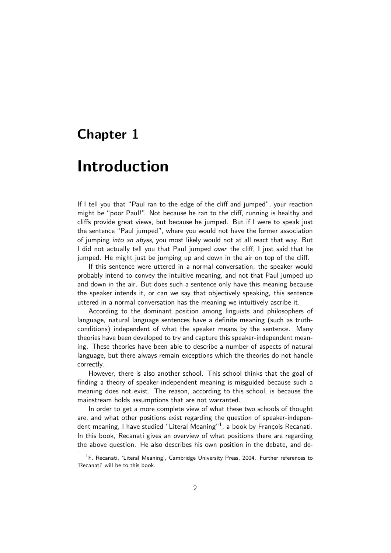## <span id="page-2-0"></span>**Chapter 1**

## **Introduction**

If I tell you that "Paul ran to the edge of the cliff and jumped", your reaction might be "poor Paul!". Not because he ran to the cliff, running is healthy and cliffs provide great views, but because he jumped. But if I were to speak just the sentence "Paul jumped", where you would not have the former association of jumping into an abyss, you most likely would not at all react that way. But I did not actually tell you that Paul jumped over the cliff, I just said that he jumped. He might just be jumping up and down in the air on top of the cliff.

If this sentence were uttered in a normal conversation, the speaker would probably intend to convey the intuitive meaning, and not that Paul jumped up and down in the air. But does such a sentence only have this meaning because the speaker intends it, or can we say that objectively speaking, this sentence uttered in a normal conversation has the meaning we intuitively ascribe it.

According to the dominant position among linguists and philosophers of language, natural language sentences have a definite meaning (such as truthconditions) independent of what the speaker means by the sentence. Many theories have been developed to try and capture this speaker-independent meaning. These theories have been able to describe a number of aspects of natural language, but there always remain exceptions which the theories do not handle correctly.

However, there is also another school. This school thinks that the goal of finding a theory of speaker-independent meaning is misguided because such a meaning does not exist. The reason, according to this school, is because the mainstream holds assumptions that are not warranted.

In order to get a more complete view of what these two schools of thought are, and what other positions exist regarding the question of speaker-independent meaning, I have studied "Literal Meaning"<sup>1</sup>, a book by François Recanati. In this book, Recanati gives an overview of what positions there are regarding the above question. He also describes his own position in the debate, and de-

<span id="page-2-1"></span><sup>&</sup>lt;sup>1</sup>F. Recanati, 'Literal Meaning', Cambridge Universi[ty](#page-2-1) Press, 2004. Further references to 'Recanati' will be to this book.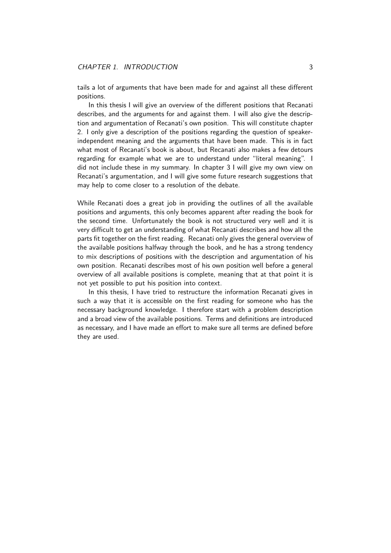tails a lot of arguments that have been made for and against all these different positions.

In this thesis I will give an overview of the different positions that Recanati describes, and the arguments for and against them. I will also give the description and argumentation of Recanati's own position. This will constitute chapter 2. I only give a description of the positions regarding the question of speakerindependent meaning and the arguments that have been made. This is in fact what most of Recanati's book is about, but Recanati also makes a few detours regarding for example what we are to understand under "literal meaning". I [d](#page-4-0)id not include these in my summary. In chapter 3 I will give my own view on Recanati's argumentation, and I will give some future research suggestions that may help to come closer to a resolution of the debate.

While Recanati does a great job in providing th[e o](#page-35-0)utlines of all the available positions and arguments, this only becomes apparent after reading the book for the second time. Unfortunately the book is not structured very well and it is very difficult to get an understanding of what Recanati describes and how all the parts fit together on the first reading. Recanati only gives the general overview of the available positions halfway through the book, and he has a strong tendency to mix descriptions of positions with the description and argumentation of his own position. Recanati describes most of his own position well before a general overview of all available positions is complete, meaning that at that point it is not yet possible to put his position into context.

In this thesis, I have tried to restructure the information Recanati gives in such a way that it is accessible on the first reading for someone who has the necessary background knowledge. I therefore start with a problem description and a broad view of the available positions. Terms and definitions are introduced as necessary, and I have made an effort to make sure all terms are defined before they are used.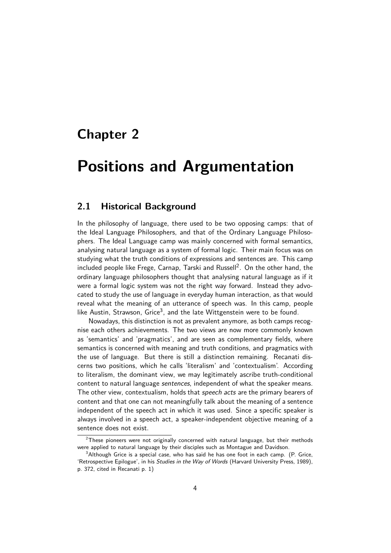## <span id="page-4-4"></span><span id="page-4-0"></span>**Chapter 2**

## **Positions and Argumentation**

### **2.1 Historical Background**

<span id="page-4-1"></span>In the philosophy of language, there used to be two opposing camps: that of the Ideal Language Philosophers, and that of the Ordinary Language Philosophers. The Ideal Language camp was mainly concerned with formal semantics, analysing natural language as a system of formal logic. Their main focus was on studying what the truth conditions of expressions and sentences are. This camp included people like Frege, Carnap, Tarski and Russell $^2$ . On the other hand, the ordinary language philosophers thought that analysing natural language as if it were a formal logic system was not the right way forward. Instead they advocated to study the use of language in everyday human [in](#page-4-2)teraction, as that would reveal what the meaning of an utterance of speech was. In this camp, people like Austin, Strawson, Grice<sup>3</sup>, and the late Wittgenstein were to be found.

Nowadays, this distinction is not as prevalent anymore, as both camps recognise each others achievements. The two views are now more commonly known as 'semantics' and 'pragma[ti](#page-4-3)cs', and are seen as complementary fields, where semantics is concerned with meaning and truth conditions, and pragmatics with the use of language. But there is still a distinction remaining. Recanati discerns two positions, which he calls 'literalism' and 'contextualism'. According to literalism, the dominant view, we may legitimately ascribe truth-conditional content to natural language sentences, independent of what the speaker means. The other view, contextualism, holds that speech acts are the primary bearers of content and that one can not meaningfully talk about the meaning of a sentence independent of the speech act in which it was used. Since a specific speaker is always involved in a speech act, a speaker-independent objective meaning of a sentence does not exist.

 $2$ These pioneers were not originally concerned with natural language, but their methods were applied to natural language by their disciples such as Montague and Davidson.

<span id="page-4-3"></span><span id="page-4-2"></span> $3$ Although Grice is a special case, who has said he has one foot in each camp. (P. Grice, 'Retrospective Epilogue', in his Studies in the Way of Words (Harvard University Press, 1989), p. 372, cited in Recanati p. 1)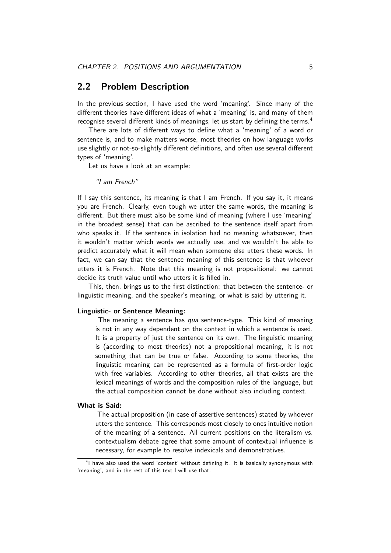### **2.2 Problem Description**

<span id="page-5-2"></span>In the previous section, I have used the word 'meaning'. Since many of the different theories have different ideas of what a 'meaning' is, and many of them recognise several different kinds of meanings, let us start by defining the terms.  $^4$ 

<span id="page-5-0"></span>There are lots of different ways to define what a 'meaning' of a word or sentence is, and to make matters worse, most theories on how language works use slightly or not-so-slightly different definitions, and often use several differe[nt](#page-5-1) types of 'meaning'.

Let us have a look at an example:

"I am French"

If I say this sentence, its meaning is that I am French. If you say it, it means you are French. Clearly, even tough we utter the same words, the meaning is different. But there must also be some kind of meaning (where I use 'meaning' in the broadest sense) that can be ascribed to the sentence itself apart from who speaks it. If the sentence in isolation had no meaning whatsoever, then it wouldn't matter which words we actually use, and we wouldn't be able to predict accurately what it will mean when someone else utters these words. In fact, we can say that the sentence meaning of this sentence is that whoever utters it is French. Note that this meaning is not propositional: we cannot decide its truth value until who utters it is filled in.

This, then, brings us to the first distinction: that between the sentence- or linguistic meaning, and the speaker's meaning, or what is said by uttering it.

#### **Linguistic- or Sentence Meaning:**

The meaning a sentence has qua sentence-type. This kind of meaning is not in any way dependent on the context in which a sentence is used. It is a property of just the sentence on its own. The linguistic meaning is (according to most theories) not a propositional meaning, it is not something that can be true or false. According to some theories, the linguistic meaning can be represented as a formula of first-order logic with free variables. According to other theories, all that exists are the lexical meanings of words and the composition rules of the language, but the actual composition cannot be done without also including context.

#### **What is Said:**

The actual proposition (in case of assertive sentences) stated by whoever utters the sentence. This corresponds most closely to ones intuitive notion of the meaning of a sentence. All current positions on the literalism vs. contextualism debate agree that some amount of contextual influence is necessary, for example to resolve indexicals and demonstratives.

<span id="page-5-1"></span><sup>&</sup>lt;sup>4</sup>I have also used the word 'content' without defining it. It is basically synonymous with 'meaning', and in the rest of this text I will use that.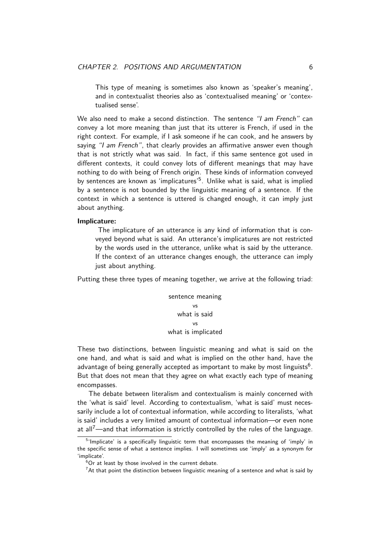<span id="page-6-2"></span>This type of meaning is sometimes also known as 'speaker's meaning', and in contextualist theories also as 'contextualised meaning' or 'contextualised sense'.

We also need to make a second distinction. The sentence "I am French" can convey a lot more meaning than just that its utterer is French, if used in the right context. For example, if I ask someone if he can cook, and he answers by saying "I am French", that clearly provides an affirmative answer even though that is not strictly what was said. In fact, if this same sentence got used in different contexts, it could convey lots of different meanings that may have nothing to do with being of French origin. These kinds of information conveyed by sentences are known as 'implicatures'<sup>5</sup>. Unlike what is said, what is implied by a sentence is not bounded by the linguistic meaning of a sentence. If the context in which a sentence is uttered is changed enough, it can imply just about anything.

#### **Implicature:**

The implicature of an utterance is any kind of information that is conveyed beyond what is said. An utterance's implicatures are not restricted by the words used in the utterance, unlike what is said by the utterance. If the context of an utterance changes enough, the utterance can imply just about anything.

Putting these three types of meaning together, we arrive at the following triad:

sentence meaning  $v<sub>c</sub>$ what is said vs what is implicated

These two distinctions, between linguistic meaning and what is said on the one hand, and what is said and what is implied on the other hand, have the advantage of being generally accepted as important to make by most linguists $^6$ . But that does not mean that they agree on what exactly each type of meaning encompasses.

The debate between literalism and contextualism is mainly concerned wi[th](#page-6-0) the 'what is said' level. According to contextualism, 'what is said' must necessarily include a lot of contextual information, while according to literalists, 'what is said' includes a very limited amount of contextual information—or even none at all<sup>7</sup>—and that information is strictly controlled by the rules of the language.

<sup>&</sup>lt;sup>5</sup>'Implicate' is a specifically linguistic term that encompasses the meaning of 'imply' in the specific sense of what a sentence implies. I will sometimes use 'imply' as a synonym for 'implicate'.

 $6$ [Or](#page-6-1) at least by those involved in the current debate.

<span id="page-6-1"></span><span id="page-6-0"></span> $7$ At that point the distinction between linguistic meaning of a sentence and what is said by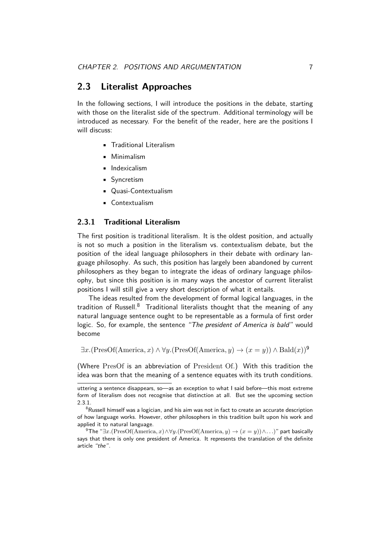### **2.3 Literalist Approaches**

<span id="page-7-2"></span><span id="page-7-0"></span>In the following sections, I will introduce the positions in the debate, starting with those on the literalist side of the spectrum. Additional terminology will be introduced as necessary. For the benefit of the reader, here are the positions I will discuss:

- Traditional Literalism
- Minimalism
- Indexicalism
- Syncretism
- Quasi-Contextualism
- Contextualism

#### **2.3.1 Traditional Literalism**

<span id="page-7-1"></span>The first position is traditional literalism. It is the oldest position, and actually is not so much a position in the literalism vs. contextualism debate, but the position of the ideal language philosophers in their debate with ordinary language philosophy. As such, this position has largely been abandoned by current philosophers as they began to integrate the ideas of ordinary language philosophy, but since this position is in many ways the ancestor of current literalist positions I will still give a very short description of what it entails.

The ideas resulted from the development of formal logical languages, in the tradition of Russell.<sup>8</sup> Traditional literalists thought that the meaning of any natural language sentence ought to be representable as a formula of first order logic. So, for example, the sentence "The president of America is bald" would become

*<sup>∃</sup>x.*(PresOf(America*, x*) *∧ ∀y.*(PresOf(America*, y*) *<sup>→</sup>* (*<sup>x</sup>* <sup>=</sup> *<sup>y</sup>*)) *<sup>∧</sup>* Bald(*x*))<sup>9</sup>

(Where PresOf is an abbreviation of President Of.) With this tradition the idea was born that the meaning of a sentence equates with its truth conditions.

uttering a sentence disappears, so—as an exception to what I said before—this most extreme form of literalism does not recognise that distinction at all. But see the upcoming section 2.3.1.

 $8R$ ussell himself was a logician, and his aim was not in fact to create an accurate description of how language works. However, other philosophers in this tradition built upon his work and applied it to natural language.

<sup>9</sup>The "*∃x.*(PresOf(America*, x*)*∧∀y.*(PresOf(America*, y*) *<sup>→</sup>* (*<sup>x</sup>* <sup>=</sup> *<sup>y</sup>*))*∧. . .*)" part basically [says t](#page-7-1)hat there is only one president of America. It represents the translation of the definite article "the".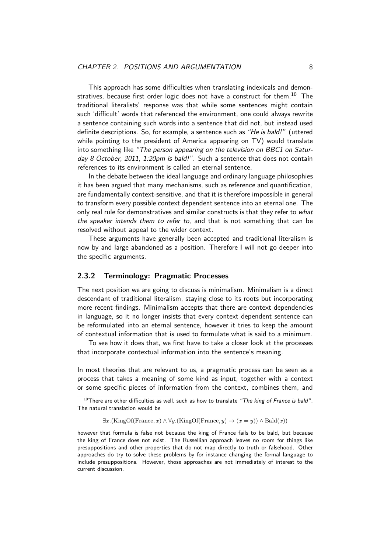<span id="page-8-2"></span>This approach has some difficulties when translating indexicals and demonstratives, because first order logic does not have a construct for them.<sup>10</sup> The traditional literalists' response was that while some sentences might contain such 'difficult' words that referenced the environment, one could always rewrite a sentence containing such words into a sentence that did not, but inste[ad](#page-8-1) used definite descriptions. So, for example, a sentence such as "He is bald!" (uttered while pointing to the president of America appearing on TV) would translate into something like "The person appearing on the television on BBC1 on Saturday 8 October, 2011, 1:20pm is bald!". Such a sentence that does not contain references to its environment is called an eternal sentence.

In the debate between the ideal language and ordinary language philosophies it has been argued that many mechanisms, such as reference and quantification, are fundamentally context-sensitive, and that it is therefore impossible in general to transform every possible context dependent sentence into an eternal one. The only real rule for demonstratives and similar constructs is that they refer to what the speaker intends them to refer to, and that is not something that can be resolved without appeal to the wider context.

These arguments have generally been accepted and traditional literalism is now by and large abandoned as a position. Therefore I will not go deeper into the specific arguments.

#### **2.3.2 Terminology: Pragmatic Processes**

<span id="page-8-0"></span>The next position we are going to discuss is minimalism. Minimalism is a direct descendant of traditional literalism, staying close to its roots but incorporating more recent findings. Minimalism accepts that there are context dependencies in language, so it no longer insists that every context dependent sentence can be reformulated into an eternal sentence, however it tries to keep the amount of contextual information that is used to formulate what is said to a minimum.

To see how it does that, we first have to take a closer look at the processes that incorporate contextual information into the sentence's meaning.

In most theories that are relevant to us, a pragmatic process can be seen as a process that takes a meaning of some kind as input, together with a context or some specific pieces of information from the context, combines them, and

*∃x.*(KingOf(France*, x*) *∧ ∀y.*(KingOf(France*, y*) *→* (*x* = *y*)) *∧* Bald(*x*))

 $10$ There are other difficulties as well, such as how to translate "The king of France is bald". The natural translation would be

<span id="page-8-1"></span>however that formula is false not because the king of France fails to be bald, but because the king of France does not exist. The Russellian approach leaves no room for things like presuppositions and other properties that do not map directly to truth or falsehood. Other approaches do try to solve these problems by for instance changing the formal language to include presuppositions. However, those approaches are not immediately of interest to the current discussion.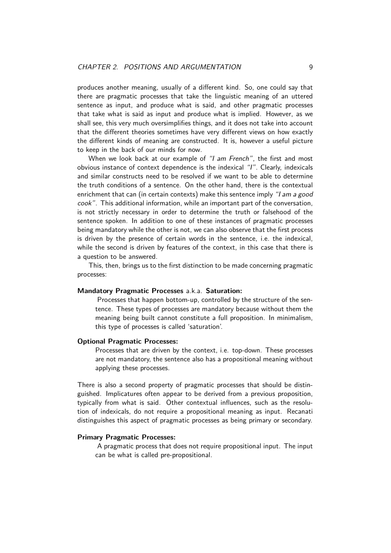<span id="page-9-0"></span>produces another meaning, usually of a different kind. So, one could say that there are pragmatic processes that take the linguistic meaning of an uttered sentence as input, and produce what is said, and other pragmatic processes that take what is said as input and produce what is implied. However, as we shall see, this very much oversimplifies things, and it does not take into account that the different theories sometimes have very different views on how exactly the different kinds of meaning are constructed. It is, however a useful picture to keep in the back of our minds for now.

When we look back at our example of "I am French", the first and most obvious instance of context dependence is the indexical "I". Clearly, indexicals and similar constructs need to be resolved if we want to be able to determine the truth conditions of a sentence. On the other hand, there is the contextual enrichment that can (in certain contexts) make this sentence imply "I am a good cook". This additional information, while an important part of the conversation, is not strictly necessary in order to determine the truth or falsehood of the sentence spoken. In addition to one of these instances of pragmatic processes being mandatory while the other is not, we can also observe that the first process is driven by the presence of certain words in the sentence, i.e. the indexical, while the second is driven by features of the context, in this case that there is a question to be answered.

This, then, brings us to the first distinction to be made concerning pragmatic processes:

#### **Mandatory Pragmatic Processes** a.k.a. **Saturation:**

Processes that happen bottom-up, controlled by the structure of the sentence. These types of processes are mandatory because without them the meaning being built cannot constitute a full proposition. In minimalism, this type of processes is called 'saturation'.

#### **Optional Pragmatic Processes:**

Processes that are driven by the context, i.e. top-down. These processes are not mandatory, the sentence also has a propositional meaning without applying these processes.

There is also a second property of pragmatic processes that should be distinguished. Implicatures often appear to be derived from a previous proposition, typically from what is said. Other contextual influences, such as the resolution of indexicals, do not require a propositional meaning as input. Recanati distinguishes this aspect of pragmatic processes as being primary or secondary.

#### **Primary Pragmatic Processes:**

A pragmatic process that does not require propositional input. The input can be what is called pre-propositional.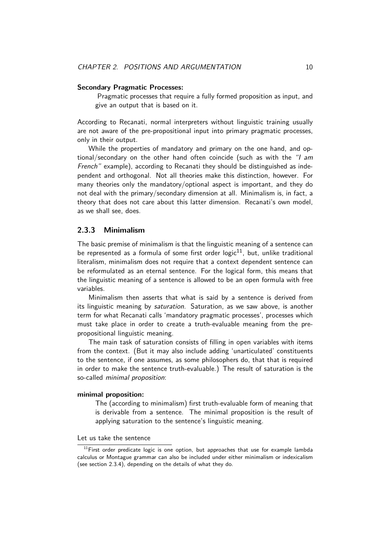#### <span id="page-10-2"></span>**Secondary Pragmatic Processes:**

Pragmatic processes that require a fully formed proposition as input, and give an output that is based on it.

According to Recanati, normal interpreters without linguistic training usually are not aware of the pre-propositional input into primary pragmatic processes, only in their output.

While the properties of mandatory and primary on the one hand, and optional/secondary on the other hand often coincide (such as with the "I am French" example), according to Recanati they should be distinguished as independent and orthogonal. Not all theories make this distinction, however. For many theories only the mandatory/optional aspect is important, and they do not deal with the primary/secondary dimension at all. Minimalism is, in fact, a theory that does not care about this latter dimension. Recanati's own model, as we shall see, does.

#### **2.3.3 Minimalism**

<span id="page-10-0"></span>The basic premise of minimalism is that the linguistic meaning of a sentence can be represented as a formula of some first order logic $^{11}$ , but, unlike traditional literalism, minimalism does not require that a context dependent sentence can be reformulated as an eternal sentence. For the logical form, this means that the linguistic meaning of a sentence is allowed to be [an](#page-10-1) open formula with free variables.

Minimalism then asserts that what is said by a sentence is derived from its linguistic meaning by *saturation*. Saturation, as we saw above, is another term for what Recanati calls 'mandatory pragmatic processes', processes which must take place in order to create a truth-evaluable meaning from the prepropositional linguistic meaning.

The main task of saturation consists of filling in open variables with items from the context. (But it may also include adding 'unarticulated' constituents to the sentence, if one assumes, as some philosophers do, that that is required in order to make the sentence truth-evaluable.) The result of saturation is the so-called minimal proposition:

#### **minimal proposition:**

The (according to minimalism) first truth-evaluable form of meaning that is derivable from a sentence. The minimal proposition is the result of applying saturation to the sentence's linguistic meaning.

#### Let us take the sentence

<span id="page-10-1"></span> $11$ First order predicate logic is one option, but approaches that use for example lambda calculus or Montague grammar can also be included under either minimalism or indexicalism (see section 2.3.4), depending on the details of what they do.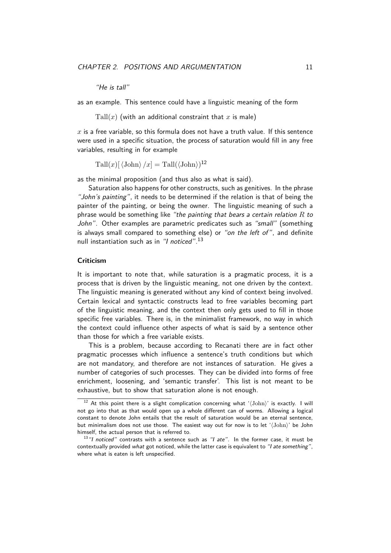"He is tall"

<span id="page-11-2"></span>as an example. This sentence could have a linguistic meaning of the form

 $\text{Tall}(x)$  (with an additional constraint that  $x$  is male)

*x* is a free variable, so this formula does not have a truth value. If this sentence were used in a specific situation, the process of saturation would fill in any free variables, resulting in for example

 $\text{Tall}(x) \left[ \langle \text{John} \rangle / x \right] = \text{Tall}(\langle \text{John} \rangle)^{12}$ 

as the minimal proposition (and thus also as what is said).

Saturation also happens for other constructs, such as genitives. In the phrase "John's painting", it [ne](#page-11-0)eds to be determined if the relation is that of being the painter of the painting, or being the owner. The linguistic meaning of such a phrase would be something like "the painting that bears a certain relation *R* to John". Other examples are parametric predicates such as "small" (something is always small compared to something else) or "on the left of", and definite null instantiation such as in *"I noticed"*.<sup>13</sup>

#### **Criticism**

It is important to note that, while sat[ura](#page-11-1)tion is a pragmatic process, it is a process that is driven by the linguistic meaning, not one driven by the context. The linguistic meaning is generated without any kind of context being involved. Certain lexical and syntactic constructs lead to free variables becoming part of the linguistic meaning, and the context then only gets used to fill in those specific free variables. There is, in the minimalist framework, no way in which the context could influence other aspects of what is said by a sentence other than those for which a free variable exists.

This is a problem, because according to Recanati there are in fact other pragmatic processes which influence a sentence's truth conditions but which are not mandatory, and therefore are not instances of saturation. He gives a number of categories of such processes. They can be divided into forms of free enrichment, loosening, and 'semantic transfer'. This list is not meant to be exhaustive, but to show that saturation alone is not enough.

<sup>&</sup>lt;sup>12</sup> At this point there is a slight complication concerning what ' $\langle$ John)' is exactly. I will not go into that as that would open up a whole different can of worms. Allowing a logical constant to denote John entails that the result of saturation would be an eternal sentence, but minimalism does not use those. The easiest way out for now is to let '*h*John*i*' be John himself, the actual person that is referred to.

<span id="page-11-1"></span><span id="page-11-0"></span> $13$ "I noticed" contrasts with a sentence such as "I ate". In the former case, it must be contextually provided what got noticed, while the latter case is equivalent to "I ate something", where what is eaten is left unspecified.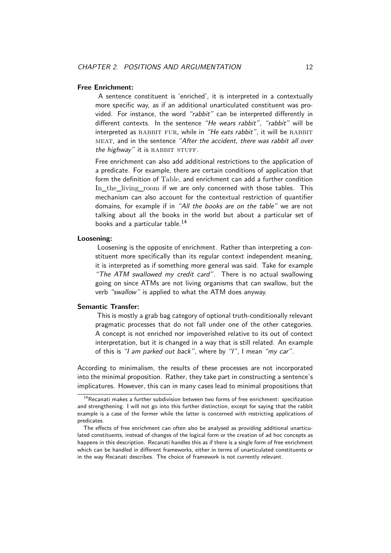#### <span id="page-12-1"></span>**Free Enrichment:**

A sentence constituent is 'enriched', it is interpreted in a contextually more specific way, as if an additional unarticulated constituent was provided. For instance, the word "rabbit" can be interpreted differently in different contexts. In the sentence "He wears rabbit", "rabbit" will be interpreted as RABBIT FUR, while in "He eats rabbit", it will be RABBIT MEAT, and in the sentence "After the accident, there was rabbit all over the highway" it is RABBIT STUFF.

Free enrichment can also add additional restrictions to the application of a predicate. For example, there are certain conditions of application that form the definition of Table, and enrichment can add a further condition In\_the\_living\_room if we are only concerned with those tables. This mechanism can also account for the contextual restriction of quantifier domains, for example if in "All the books are on the table" we are not talking about all the books in the world but about a particular set of books and a particular table.<sup>14</sup>

#### **Loosening:**

Loosening is the opposite of enrichment. Rather than interpreting a constituent more specifically th[an](#page-12-0) its regular context independent meaning, it is interpreted as if something more general was said. Take for example "The ATM swallowed my credit card". There is no actual swallowing going on since ATMs are not living organisms that can swallow, but the verb "swallow" is applied to what the ATM does anyway.

#### **Semantic Transfer:**

This is mostly a grab bag category of optional truth-conditionally relevant pragmatic processes that do not fall under one of the other categories. A concept is not enriched nor impoverished relative to its out of context interpretation, but it is changed in a way that is still related. An example of this is "I am parked out back", where by "I", I mean "my car".

According to minimalism, the results of these processes are not incorporated into the minimal proposition. Rather, they take part in constructing a sentence's implicatures. However, this can in many cases lead to minimal propositions that

 $14$ Recanati makes a further subdivision between two forms of free enrichment: specifization and strengthening. I will not go into this further distinction, except for saying that the rabbit example is a case of the former while the latter is concerned with restricting applications of predicates.

<span id="page-12-0"></span>The effects of free enrichment can often also be analysed as providing additional unarticulated constituents, instead of changes of the logical form or the creation of ad hoc concepts as happens in this description. Recanati handles this as if there is a single form of free enrichment which can be handled in different frameworks, either in terms of unarticulated constituents or in the way Recanati describes. The choice of framework is not currently relevant.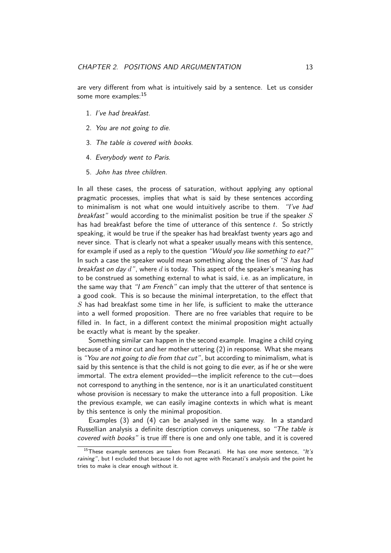<span id="page-13-5"></span>are very different from what is intuitively said by a sentence. Let us consider some more examples:<sup>15</sup>

- 1. I've had breakfast.
- 2. You are not go[ing](#page-13-0) to die.
- 3. The table is covered with books.
- <span id="page-13-1"></span>4. Everybody went to Paris.
- <span id="page-13-2"></span>5. John has three children.

<span id="page-13-4"></span><span id="page-13-3"></span>In all these cases, the process of saturation, without applying any optional pragmatic processes, implies that what is said by these sentences according to minimalism is not what one would intuitively ascribe to them. "I've had breakfast" would according to the minimalist position be true if the speaker *S* has had breakfast before the time of utterance of this sentence *t*. So strictly speaking, it would be true if the speaker has had breakfast twenty years ago and never since. That is clearly not what a speaker usually means with this sentence, for example if used as a reply to the question "Would you like something to eat?" In such a case the speaker would mean something along the lines of "*S* has had breakfast on day *d*", where *d* is today. This aspect of the speaker's meaning has to be construed as something external to what is said, i.e. as an implicature, in the same way that "I am French" can imply that the utterer of that sentence is a good cook. This is so because the minimal interpretation, to the effect that  $S$  has had breakfast some time in her life, is sufficient to make the utterance into a well formed proposition. There are no free variables that require to be filled in. In fact, in a different context the minimal proposition might actually be exactly what is meant by the speaker.

Something similar can happen in the second example. Imagine a child crying because of a minor cut and her mother uttering (2) in response. What she means is "You are not going to die from that cut", but according to minimalism, what is said by this sentence is that the child is not going to die ever, as if he or she were immortal. The extra element provided—the implicit reference to the cut—does not correspond to anything in the sentence, nor i[s](#page-13-1) it an unarticulated constituent whose provision is necessary to make the utterance into a full proposition. Like the previous example, we can easily imagine contexts in which what is meant by this sentence is only the minimal proposition.

Examples (3) and (4) can be analysed in the same way. In a standard Russellian analysis a definite description conveys uniqueness, so "The table is covered with books" is true iff there is one and only one table, and it is covered

<span id="page-13-0"></span><sup>&</sup>lt;sup>15</sup>These examp[le](#page-13-2) sentenc[es](#page-13-3) are taken from Recanati. He has one more sentence, "It's raining", but I excluded that because I do not agree with Recanati's analysis and the point he tries to make is clear enough without it.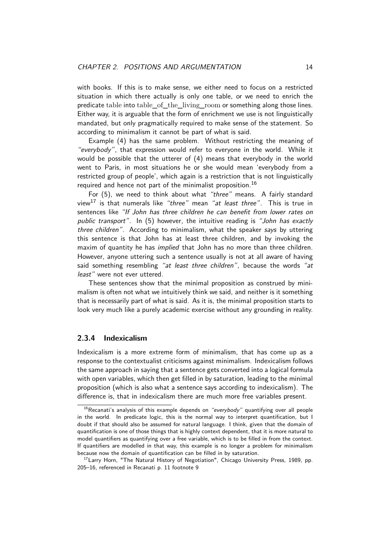with books. If this is to make sense, we either need to focus on a restricted situation in which there actually is only one table, or we need to enrich the predicate table into table\_of\_the\_living\_room or something along those lines. Either way, it is arguable that the form of enrichment we use is not linguistically mandated, but only pragmatically required to make sense of the statement. So according to minimalism it cannot be part of what is said.

Example (4) has the same problem. Without restricting the meaning of "everybody", that expression would refer to everyone in the world. While it would be possible that the utterer of (4) means that everybody in the world went to Paris, in most situations he or she would mean 'everybody from a restricted gro[up](#page-13-3) of people', which again is a restriction that is not linguistically required and hence not part of the minimalist proposition.  $^{16}$ 

For (5), we need to think about [wh](#page-13-3)at "three" means. A fairly standard view<sup>17</sup> is that numerals like "three" mean "at least three". This is true in sentences like "If John has three children he can benefit [fr](#page-14-1)om lower rates on public transport". In (5) however, the intuitive reading is "John has exactly thre[e c](#page-14-2)hi[ld](#page-13-4)ren". According to minimalism, what the speaker says by uttering this sentence is that John has at least three children, and by invoking the maxim of quantity he has *implied* that John has no more than three children. However, anyone utteri[ng](#page-13-4) such a sentence usually is not at all aware of having said something resembling "at least three children", because the words "at least" were not ever uttered.

These sentences show that the minimal proposition as construed by minimalism is often not what we intuitively think we said, and neither is it something that is necessarily part of what is said. As it is, the minimal proposition starts to look very much like a purely academic exercise without any grounding in reality.

#### **2.3.4 Indexicalism**

<span id="page-14-0"></span>Indexicalism is a more extreme form of minimalism, that has come up as a response to the contextualist criticisms against minimalism. Indexicalism follows the same approach in saying that a sentence gets converted into a logical formula with open variables, which then get filled in by saturation, leading to the minimal proposition (which is also what a sentence says according to indexicalism). The difference is, that in indexicalism there are much more free variables present.

<sup>&</sup>lt;sup>16</sup>Recanati's analysis of this example depends on "everybody" quantifying over all people in the world. In predicate logic, this is the normal way to interpret quantification, but I doubt if that should also be assumed for natural language. I think, given that the domain of quantification is one of those things that is highly context dependent, that it is more natural to model quantifiers as quantifying over a free variable, which is to be filled in from the context. If quantifiers are modelled in that way, this example is no longer a problem for minimalism because now the domain of quantification can be filled in by saturation.

<span id="page-14-2"></span><span id="page-14-1"></span><sup>&</sup>lt;sup>17</sup> Larry Horn, "The Natural History of Negotiation", Chicago University Press, 1989, pp. 205–16, referenced in Recanati p. 11 footnote 9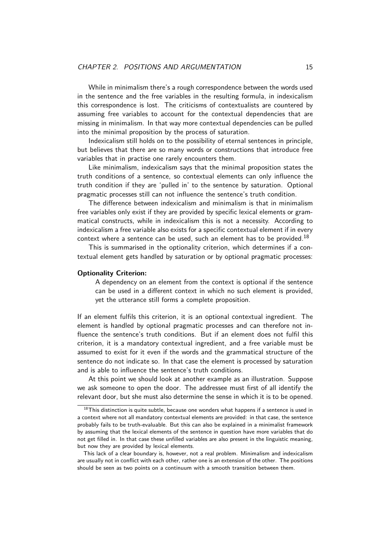While in minimalism there's a rough correspondence between the words used in the sentence and the free variables in the resulting formula, in indexicalism this correspondence is lost. The criticisms of contextualists are countered by assuming free variables to account for the contextual dependencies that are missing in minimalism. In that way more contextual dependencies can be pulled into the minimal proposition by the process of saturation.

Indexicalism still holds on to the possibility of eternal sentences in principle, but believes that there are so many words or constructions that introduce free variables that in practise one rarely encounters them.

Like minimalism, indexicalism says that the minimal proposition states the truth conditions of a sentence, so contextual elements can only influence the truth condition if they are 'pulled in' to the sentence by saturation. Optional pragmatic processes still can not influence the sentence's truth condition.

The difference between indexicalism and minimalism is that in minimalism free variables only exist if they are provided by specific lexical elements or grammatical constructs, while in indexicalism this is not a necessity. According to indexicalism a free variable also exists for a specific contextual element if in every context where a sentence can be used, such an element has to be provided.<sup>18</sup>

This is summarised in the optionality criterion, which determines if a contextual element gets handled by saturation or by optional pragmatic processes:

#### **Optionality Criterion:**

A dependency on an element from the context is optional if the sentence can be used in a different context in which no such element is provided, yet the utterance still forms a complete proposition.

If an element fulfils this criterion, it is an optional contextual ingredient. The element is handled by optional pragmatic processes and can therefore not influence the sentence's truth conditions. But if an element does not fulfil this criterion, it is a mandatory contextual ingredient, and a free variable must be assumed to exist for it even if the words and the grammatical structure of the sentence do not indicate so. In that case the element is processed by saturation and is able to influence the sentence's truth conditions.

At this point we should look at another example as an illustration. Suppose we ask someone to open the door. The addressee must first of all identify the relevant door, but she must also determine the sense in which it is to be opened.

 $18$ This distinction is quite subtle, because one wonders what happens if a sentence is used in a context where not all mandatory contextual elements are provided: in that case, the sentence probably fails to be truth-evaluable. But this can also be explained in a minimalist framework by assuming that the lexical elements of the sentence in question have more variables that do not get filled in. In that case these unfilled variables are also present in the linguistic meaning, but now they are provided by lexical elements.

This lack of a clear boundary is, however, not a real problem. Minimalism and indexicalism are usually not in conflict with each other, rather one is an extension of the other. The positions should be seen as two points on a continuum with a smooth transition between them.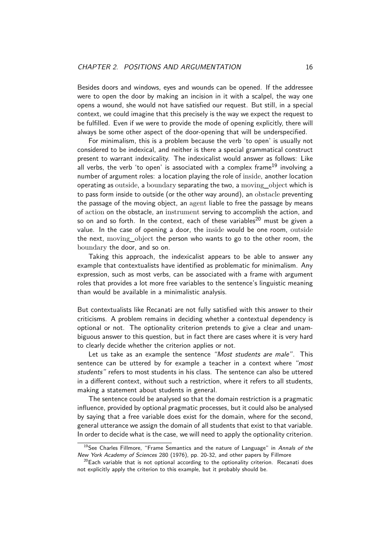<span id="page-16-2"></span>Besides doors and windows, eyes and wounds can be opened. If the addressee were to open the door by making an incision in it with a scalpel, the way one opens a wound, she would not have satisfied our request. But still, in a special context, we could imagine that this precisely is the way we expect the request to be fulfilled. Even if we were to provide the mode of opening explicitly, there will always be some other aspect of the door-opening that will be underspecified.

For minimalism, this is a problem because the verb 'to open' is usually not considered to be indexical, and neither is there a special grammatical construct present to warrant indexicality. The indexicalist would answer as follows: Like all verbs, the verb 'to open' is associated with a complex frame<sup>19</sup> involving a number of argument roles: a location playing the role of inside, another location operating as outside, a boundary separating the two, a moving object which is to pass form inside to outside (or the other way around), an obsta[cle](#page-16-0) preventing the passage of the moving object, an agent liable to free the passage by means of action on the obstacle, an instrument serving to accomplish the action, and so on and so forth. In the context, each of these variables<sup>20</sup> must be given a value. In the case of opening a door, the inside would be one room, outside the next, moving\_object the person who wants to go to the other room, the boundary the door, and so on.

Taking this approach, the indexicalist appears to be [ab](#page-16-1)le to answer any example that contextualists have identified as problematic for minimalism. Any expression, such as most verbs, can be associated with a frame with argument roles that provides a lot more free variables to the sentence's linguistic meaning than would be available in a minimalistic analysis.

But contextualists like Recanati are not fully satisfied with this answer to their criticisms. A problem remains in deciding whether a contextual dependency is optional or not. The optionality criterion pretends to give a clear and unambiguous answer to this question, but in fact there are cases where it is very hard to clearly decide whether the criterion applies or not.

Let us take as an example the sentence "Most students are male". This sentence can be uttered by for example a teacher in a context where "most students" refers to most students in his class. The sentence can also be uttered in a different context, without such a restriction, where it refers to all students, making a statement about students in general.

The sentence could be analysed so that the domain restriction is a pragmatic influence, provided by optional pragmatic processes, but it could also be analysed by saying that a free variable does exist for the domain, where for the second, general utterance we assign the domain of all students that exist to that variable. In order to decide what is the case, we will need to apply the optionality criterion.

<sup>&</sup>lt;sup>19</sup> See Charles Fillmore, "Frame Semantics and the nature of Language" in Annals of the New York Academy of Sciences 280 (1976), pp. 20-32, and other papers by Fillmore

<span id="page-16-1"></span><span id="page-16-0"></span> $20$ Each variable that is not optional according to the optionality criterion. Recanati does not explicitly apply the criterion to this example, but it probably should be.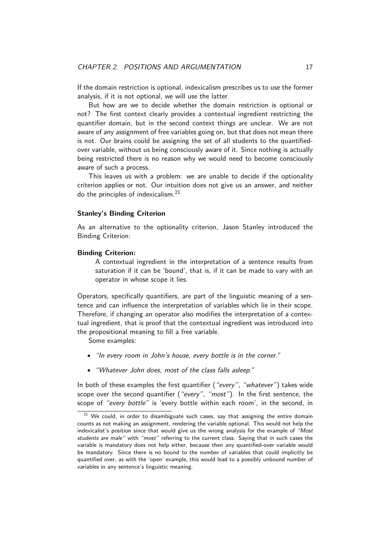If the domain restriction is optional, indexicalism prescribes us to use the former analysis, if it is not optional, we will use the latter.

<span id="page-17-1"></span>But how are we to decide whether the domain restriction is optional or not? The first context clearly provides a contextual ingredient restricting the quantifier domain, but in the second context things are unclear. We are not aware of any assignment of free variables going on, but that does not mean there is not. Our brains could be assigning the set of all students to the quantifiedover variable, without us being consciously aware of it. Since nothing is actually being restricted there is no reason why we would need to become consciously aware of such a process.

This leaves us with a problem: we are unable to decide if the optionality criterion applies or not. Our intuition does not give us an answer, and neither do the principles of indexicalism. $^{21}$ 

#### **Stanley's Binding Criterion**

As an alternative to the optio[nal](#page-17-0)ity criterion, Jason Stanley introduced the Binding Criterion:

#### **Binding Criterion:**

A contextual ingredient in the interpretation of a sentence results from saturation if it can be 'bound', that is, if it can be made to vary with an operator in whose scope it lies.

Operators, specifically quantifiers, are part of the linguistic meaning of a sentence and can influence the interpretation of variables which lie in their scope. Therefore, if changing an operator also modifies the interpretation of a contextual ingredient, that is proof that the contextual ingredient was introduced into the propositional meaning to fill a free variable.

Some examples:

- "In every room in John's house, every bottle is in the corner."
- "Whatever John does, most of the class falls asleep."

In both of these examples the first quantifier ("every", "whatever") takes wide scope over the second quantifier ("every", "most"). In the first sentence, the scope of "every bottle" is 'every bottle within each room', in the second, in

<span id="page-17-0"></span> $21$  We could, in order to disambiguate such cases, say that assigning the entire domain counts as not making an assignment, rendering the variable optional. This would not help the indexicalist's position since that would give us the wrong analysis for the example of "Most students are male" with "most" referring to the current class. Saying that in such cases the variable is mandatory does not help either, because then any quantified-over variable would be mandatory. Since there is no bound to the number of variables that could implicitly be quantified over, as with the 'open' example, this would lead to a possibly unbound number of variables in any sentence's linguistic meaning.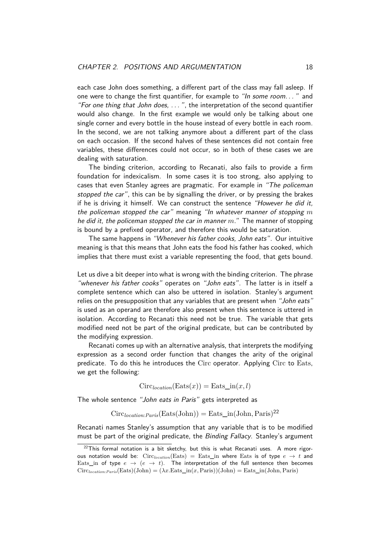<span id="page-18-0"></span>each case John does something, a different part of the class may fall asleep. If one were to change the first quantifier, for example to "In some room..." and "For one thing that John does, . . . ", the interpretation of the second quantifier would also change. In the first example we would only be talking about one single corner and every bottle in the house instead of every bottle in each room. In the second, we are not talking anymore about a different part of the class on each occasion. If the second halves of these sentences did not contain free variables, these differences could not occur, so in both of these cases we are dealing with saturation.

The binding criterion, according to Recanati, also fails to provide a firm foundation for indexicalism. In some cases it is too strong, also applying to cases that even Stanley agrees are pragmatic. For example in "The policeman stopped the car", this can be by signalling the driver, or by pressing the brakes if he is driving it himself. We can construct the sentence "However he did it, the policeman stopped the car" meaning "In whatever manner of stopping *m* he did it, the policeman stopped the car in manner *m*." The manner of stopping is bound by a prefixed operator, and therefore this would be saturation.

The same happens in "Whenever his father cooks, John eats". Our intuitive meaning is that this means that John eats the food his father has cooked, which implies that there must exist a variable representing the food, that gets bound.

Let us dive a bit deeper into what is wrong with the binding criterion. The phrase "whenever his father cooks" operates on "John eats". The latter is in itself a complete sentence which can also be uttered in isolation. Stanley's argument relies on the presupposition that any variables that are present when "John eats" is used as an operand are therefore also present when this sentence is uttered in isolation. According to Recanati this need not be true. The variable that gets modified need not be part of the original predicate, but can be contributed by the modifying expression.

Recanati comes up with an alternative analysis, that interprets the modifying expression as a second order function that changes the arity of the original predicate. To do this he introduces the Circ operator. Applying Circ to Eats, we get the following:

$$
Circlocation(Eats(x)) = Eats_in(x, l)
$$

The whole sentence "John eats in Paris" gets interpreted as

$$
Circlocation:Paris(Eats(John)) = Eats_in(John, Paris)22
$$

Recanati names Stanley's assumption that any variable that is to be modified must be part of the original predicate, the *Binding Fallacy*. Stanley's argument

 $22$ This formal notation is a bit sketchy, but this is what Recanati uses. A more rigorous notation would be:  $Circ_{location}(Eats) = Eats_in$  where Eats is of type  $e \rightarrow t$  and Eats\_in of type  $e \rightarrow (e \rightarrow t)$ . The interpretation of the full sentence then becomes  $Circ_{location:Paris}(\text{Eats})(John) = (\lambda x. \text{Eats\_in}(x, Paris))(John) = \text{Eats\_in}(John, Paris)$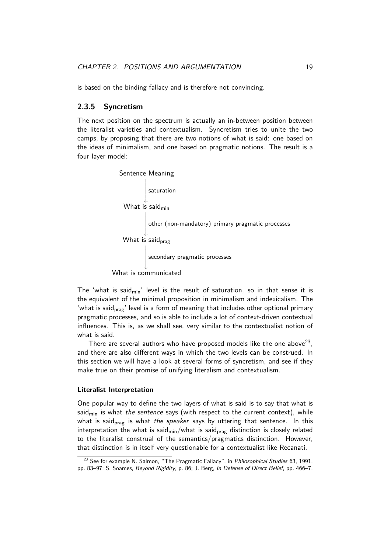<span id="page-19-1"></span>is based on the binding fallacy and is therefore not convincing.

#### **2.3.5 Syncretism**

<span id="page-19-0"></span>The next position on the spectrum is actually an in-between position between the literalist varieties and contextualism. Syncretism tries to unite the two camps, by proposing that there are two notions of what is said: one based on the ideas of minimalism, and one based on pragmatic notions. The result is a four layer model:



What is communicated

The 'what is said<sub>min</sub>' level is the result of saturation, so in that sense it is the equivalent of the minimal proposition in minimalism and indexicalism. The 'what is said<sub>prag</sub>' level is a form of meaning that includes other optional primary pragmatic processes, and so is able to include a lot of context-driven contextual influences. This is, as we shall see, very similar to the contextualist notion of what is said.

There are several authors who have proposed models like the one above $^{23}$ , and there are also different ways in which the two levels can be construed. In this section we will have a look at several forms of syncretism, and see if they make true on their promise of unifying literalism and contextualism.

#### **Literalist Interpretation**

One popular way to define the two layers of what is said is to say that what is said<sub>min</sub> is what the sentence says (with respect to the current context), while what is said<sub>prag</sub> is what the speaker says by uttering that sentence. In this interpretation the what is said $_{\sf min}/$ what is said $_{\sf prag}$  distinction is closely related to the literalist construal of the semantics/pragmatics distinction. However, that distinction is in itself very questionable for a contextualist like Recanati.

<sup>&</sup>lt;sup>23</sup> See for example N. Salmon, "The Pragmatic Fallacy", in *Philosophical Studies* 63, 1991, pp. 83–97; S. Soames, Beyond Rigidity, p. 86; J. Berg, In Defense of Direct Belief, pp. 466–7.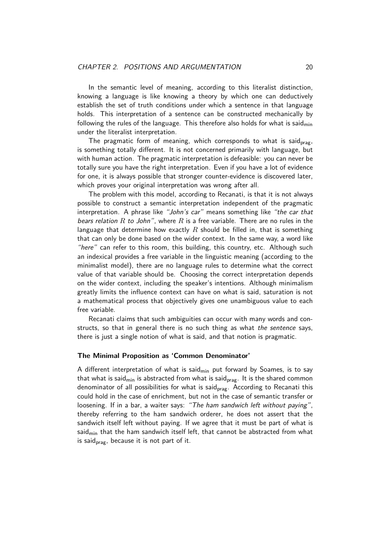<span id="page-20-0"></span>In the semantic level of meaning, according to this literalist distinction, knowing a language is like knowing a theory by which one can deductively establish the set of truth conditions under which a sentence in that language holds. This interpretation of a sentence can be constructed mechanically by following the rules of the language. This therefore also holds for what is said $_{min}$ under the literalist interpretation.

The pragmatic form of meaning, which corresponds to what is said<sub>prag</sub>, is something totally different. It is not concerned primarily with language, but with human action. The pragmatic interpretation is defeasible: you can never be totally sure you have the right interpretation. Even if you have a lot of evidence for one, it is always possible that stronger counter-evidence is discovered later, which proves your original interpretation was wrong after all.

The problem with this model, according to Recanati, is that it is not always possible to construct a semantic interpretation independent of the pragmatic interpretation. A phrase like "John's car" means something like "the car that bears relation *R* to John", where *R* is a free variable. There are no rules in the language that determine how exactly *R* should be filled in, that is something that can only be done based on the wider context. In the same way, a word like "here" can refer to this room, this building, this country, etc. Although such an indexical provides a free variable in the linguistic meaning (according to the minimalist model), there are no language rules to determine what the correct value of that variable should be. Choosing the correct interpretation depends on the wider context, including the speaker's intentions. Although minimalism greatly limits the influence context can have on what is said, saturation is not a mathematical process that objectively gives one unambiguous value to each free variable.

Recanati claims that such ambiguities can occur with many words and constructs, so that in general there is no such thing as what the sentence says, there is just a single notion of what is said, and that notion is pragmatic.

#### **The Minimal Proposition as 'Common Denominator'**

A different interpretation of what is said<sub>min</sub> put forward by Soames, is to say that what is said<sub>min</sub> is abstracted from what is said<sub>prag</sub>. It is the shared common denominator of all possibilities for what is said<sub>prag</sub>. According to Recanati this could hold in the case of enrichment, but not in the case of semantic transfer or loosening. If in a bar, a waiter says: "The ham sandwich left without paying", thereby referring to the ham sandwich orderer, he does not assert that the sandwich itself left without paying. If we agree that it must be part of what is said $_{\text{min}}$  that the ham sandwich itself left, that cannot be abstracted from what is said<sub>prag</sub>, because it is not part of it.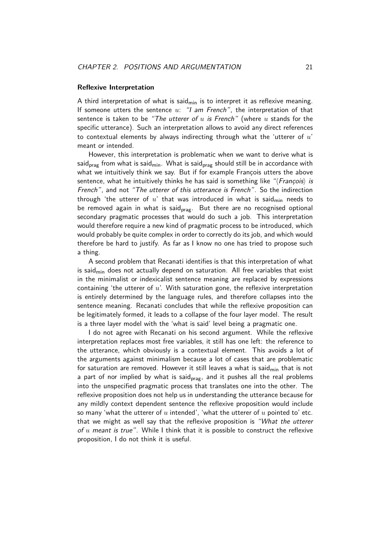#### <span id="page-21-0"></span>**Reflexive Interpretation**

A third interpretation of what is said<sub>min</sub> is to interpret it as reflexive meaning. If someone utters the sentence *u*: "I am French", the interpretation of that sentence is taken to be "The utterer of *u* is French" (where *u* stands for the specific utterance). Such an interpretation allows to avoid any direct references to contextual elements by always indirecting through what the 'utterer of *u*' meant or intended.

However, this interpretation is problematic when we want to derive what is said<sub>prag</sub> from what is said<sub>min</sub>. What is said<sub>prag</sub> should still be in accordance with what we intuitively think we say. But if for example François utters the above sentence, what he intuitively thinks he has said is something like "*{François}* is French", and not "The utterer of this utterance is French". So the indirection through 'the utterer of  $u'$  that was introduced in what is said<sub>min</sub> needs to be removed again in what is said<sub>prag</sub>. But there are no recognised optional secondary pragmatic processes that would do such a job. This interpretation would therefore require a new kind of pragmatic process to be introduced, which would probably be quite complex in order to correctly do its job, and which would therefore be hard to justify. As far as I know no one has tried to propose such a thing.

A second problem that Recanati identifies is that this interpretation of what is said $_{\text{min}}$  does not actually depend on saturation. All free variables that exist in the minimalist or indexicalist sentence meaning are replaced by expressions containing 'the utterer of *u*'. With saturation gone, the reflexive interpretation is entirely determined by the language rules, and therefore collapses into the sentence meaning. Recanati concludes that while the reflexive proposition can be legitimately formed, it leads to a collapse of the four layer model. The result is a three layer model with the 'what is said' level being a pragmatic one.

I do not agree with Recanati on his second argument. While the reflexive interpretation replaces most free variables, it still has one left: the reference to the utterance, which obviously is a contextual element. This avoids a lot of the arguments against minimalism because a lot of cases that are problematic for saturation are removed. However it still leaves a what is said<sub>min</sub> that is not a part of nor implied by what is said<sub>prag</sub>, and it pushes all the real problems into the unspecified pragmatic process that translates one into the other. The reflexive proposition does not help us in understanding the utterance because for any mildly context dependent sentence the reflexive proposition would include so many 'what the utterer of *u* intended', 'what the utterer of *u* pointed to' etc. that we might as well say that the reflexive proposition is "What the utterer of *u* meant is true". While I think that it is possible to construct the reflexive proposition, I do not think it is useful.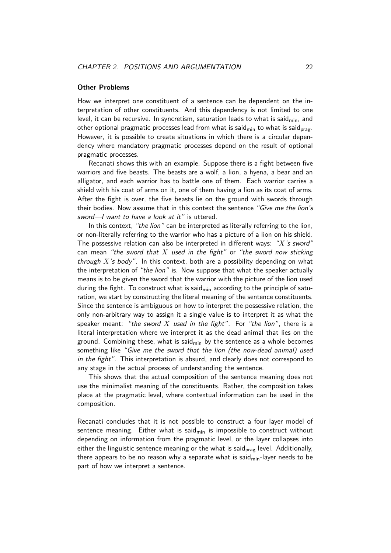#### <span id="page-22-1"></span>**Other Problems**

<span id="page-22-0"></span>How we interpret one constituent of a sentence can be dependent on the interpretation of other constituents. And this dependency is not limited to one level, it can be recursive. In syncretism, saturation leads to what is said $_{\text{min}}$ , and other optional pragmatic processes lead from what is said<sub>min</sub> to what is said<sub>prag</sub>. However, it is possible to create situations in which there is a circular dependency where mandatory pragmatic processes depend on the result of optional pragmatic processes.

Recanati shows this with an example. Suppose there is a fight between five warriors and five beasts. The beasts are a wolf, a lion, a hyena, a bear and an alligator, and each warrior has to battle one of them. Each warrior carries a shield with his coat of arms on it, one of them having a lion as its coat of arms. After the fight is over, the five beasts lie on the ground with swords through their bodies. Now assume that in this context the sentence "Give me the lion's sword—I want to have a look at it" is uttered.

In this context, "the lion" can be interpreted as literally referring to the lion, or non-literally referring to the warrior who has a picture of a lion on his shield. The possessive relation can also be interpreted in different ways: "*X*'s sword" can mean "the sword that *X* used in the fight" or "the sword now sticking through *X*'s body". In this context, both are a possibility depending on what the interpretation of "the lion" is. Now suppose that what the speaker actually means is to be given the sword that the warrior with the picture of the lion used during the fight. To construct what is said $_{\text{min}}$  according to the principle of saturation, we start by constructing the literal meaning of the sentence constituents. Since the sentence is ambiguous on how to interpret the possessive relation, the only non-arbitrary way to assign it a single value is to interpret it as what the speaker meant: "the sword *X* used in the fight". For "the lion", there is a literal interpretation where we interpret it as the dead animal that lies on the ground. Combining these, what is said<sub>min</sub> by the sentence as a whole becomes something like "Give me the sword that the lion (the now-dead animal) used in the fight". This interpretation is absurd, and clearly does not correspond to any stage in the actual process of understanding the sentence.

This shows that the actual composition of the sentence meaning does not use the minimalist meaning of the constituents. Rather, the composition takes place at the pragmatic level, where contextual information can be used in the composition.

Recanati concludes that it is not possible to construct a four layer model of sentence meaning. Either what is said $_{\text{min}}$  is impossible to construct without depending on information from the pragmatic level, or the layer collapses into either the linguistic sentence meaning or the what is said<sub>prag</sub> level. Additionally, there appears to be no reason why a separate what is said $_{\text{min}}$ -layer needs to be part of how we interpret a sentence.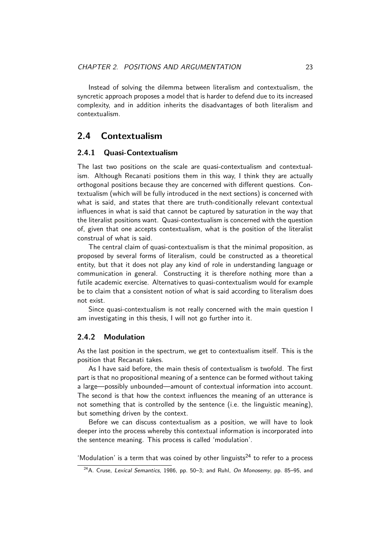<span id="page-23-3"></span>Instead of solving the dilemma between literalism and contextualism, the syncretic approach proposes a model that is harder to defend due to its increased complexity, and in addition inherits the disadvantages of both literalism and contextualism.

### **2.4 Contextualism**

#### **2.4.1 Quasi-Contextualism**

<span id="page-23-1"></span><span id="page-23-0"></span>The last two positions on the scale are quasi-contextualism and contextualism. Although Recanati positions them in this way, I think they are actually orthogonal positions because they are concerned with different questions. Contextualism (which will be fully introduced in the next sections) is concerned with what is said, and states that there are truth-conditionally relevant contextual influences in what is said that cannot be captured by saturation in the way that the literalist positions want. Quasi-contextualism is concerned with the question of, given that one accepts contextualism, what is the position of the literalist construal of what is said.

The central claim of quasi-contextualism is that the minimal proposition, as proposed by several forms of literalism, could be constructed as a theoretical entity, but that it does not play any kind of role in understanding language or communication in general. Constructing it is therefore nothing more than a futile academic exercise. Alternatives to quasi-contextualism would for example be to claim that a consistent notion of what is said according to literalism does not exist.

Since quasi-contextualism is not really concerned with the main question I am investigating in this thesis, I will not go further into it.

#### **2.4.2 Modulation**

As the last position in the spectrum, we get to contextualism itself. This is the position that Recanati takes.

<span id="page-23-2"></span>As I have said before, the main thesis of contextualism is twofold. The first part is that no propositional meaning of a sentence can be formed without taking a large—possibly unbounded—amount of contextual information into account. The second is that how the context influences the meaning of an utterance is not something that is controlled by the sentence (i.e. the linguistic meaning), but something driven by the context.

Before we can discuss contextualism as a position, we will have to look deeper into the process whereby this contextual information is incorporated into the sentence meaning. This process is called 'modulation'.

'Modulation' is a term that was coined by other linguists<sup>24</sup> to refer to a process

 $24A$ . Cruse, Lexical Semantics, 1986, pp. 50-3; and Ruhl, On Monosemy, pp. 85-95, and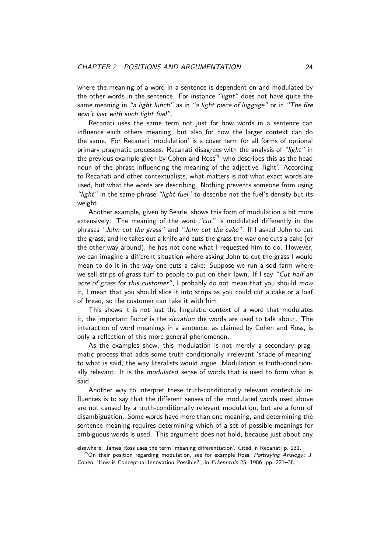<span id="page-24-1"></span>where the meaning of a word in a sentence is dependent on and modulated by the other words in the sentence. For instance "light" does not have quite the same meaning in "a light lunch" as in "a light piece of luggage" or in "The fire won't last with such light fuel".

Recanati uses the same term not just for how words in a sentence can influence each others meaning, but also for how the larger context can do the same. For Recanati 'modulation' is a cover term for all forms of optional primary pragmatic processes. Recanati disagrees with the analysis of "light" in the previous example given by Cohen and  $Ross^{25}$  who describes this as the head noun of the phrase influencing the meaning of the adjective 'light'. According to Recanati and other contextualists, what matters is not what exact words are used, but what the words are describing. Noth[in](#page-24-0)g prevents someone from using "light" in the same phrase "light fuel" to describe not the fuel's density but its weight.

Another example, given by Searle, shows this form of modulation a bit more extensively: The meaning of the word "cut" is modulated differently in the phrases "John cut the grass" and "John cut the cake". If I asked John to cut the grass, and he takes out a knife and cuts the grass the way one cuts a cake (or the other way around), he has not done what I requested him to do. However, we can imagine a different situation where asking John to cut the grass I would mean to do it in the way one cuts a cake: Suppose we run a sod farm where we sell strips of grass turf to people to put on their lawn. If I say "Cut half an acre of grass for this customer", I probably do not mean that you should mow it, I mean that you should slice it into strips as you could cut a cake or a loaf of bread, so the customer can take it with him.

This shows it is not just the linguistic context of a word that modulates it, the important factor is the *situation* the words are used to talk about. The interaction of word meanings in a sentence, as claimed by Cohen and Ross, is only a reflection of this more general phenomenon.

As the examples show, this modulation is not merely a secondary pragmatic process that adds some truth-conditionally irrelevant 'shade of meaning' to what is said, the way literalists would argue. Modulation is truth-conditionally relevant. It is the *modulated* sense of words that is used to form what is said.

Another way to interpret these truth-conditionally relevant contextual influences is to say that the different senses of the modulated words used above are not caused by a truth-conditionally relevant modulation, but are a form of disambiguation. Some words have more than one meaning, and determining the sentence meaning requires determining which of a set of possible meanings for ambiguous words is used. This argument does not hold, because just about any

elsewhere. James Ross uses the term 'meaning differentiation'. Cited in Recanati p. 131.

<span id="page-24-0"></span> $^{25}$ On their position regarding modulation, see for example Ross, Portraying Analogy; J. Cohen, 'How is Conceptual Innovation Possible?', in Erkenntnis 25, 1986, pp. 221-38.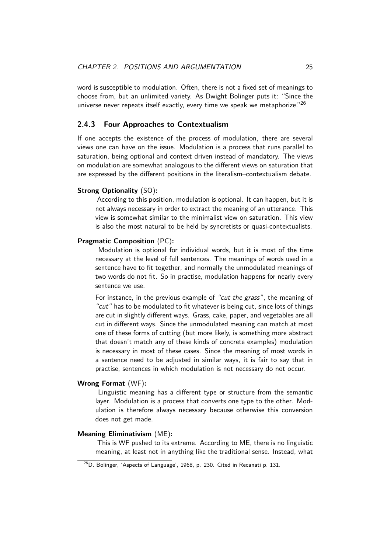<span id="page-25-2"></span>word is susceptible to modulation. Often, there is not a fixed set of meanings to choose from, but an unlimited variety. As Dwight Bolinger puts it: "Since the universe never repeats itself exactly, every time we speak we metaphorize." $^{26}$ 

#### **2.4.3 Four Approaches to Contextualism**

<span id="page-25-0"></span>If one accepts the existence of the process of modulation, there are se[ver](#page-25-1)al views one can have on the issue. Modulation is a process that runs parallel to saturation, being optional and context driven instead of mandatory. The views on modulation are somewhat analogous to the different views on saturation that are expressed by the different positions in the literalism–contextualism debate.

#### **Strong Optionality** (SO)**:**

According to this position, modulation is optional. It can happen, but it is not always necessary in order to extract the meaning of an utterance. This view is somewhat similar to the minimalist view on saturation. This view is also the most natural to be held by syncretists or quasi-contextualists.

#### **Pragmatic Composition** (PC)**:**

Modulation is optional for individual words, but it is most of the time necessary at the level of full sentences. The meanings of words used in a sentence have to fit together, and normally the unmodulated meanings of two words do not fit. So in practise, modulation happens for nearly every sentence we use.

For instance, in the previous example of "cut the grass", the meaning of "cut" has to be modulated to fit whatever is being cut, since lots of things are cut in slightly different ways. Grass, cake, paper, and vegetables are all cut in different ways. Since the unmodulated meaning can match at most one of these forms of cutting (but more likely, is something more abstract that doesn't match any of these kinds of concrete examples) modulation is necessary in most of these cases. Since the meaning of most words in a sentence need to be adjusted in similar ways, it is fair to say that in practise, sentences in which modulation is not necessary do not occur.

#### **Wrong Format** (WF)**:**

Linguistic meaning has a different type or structure from the semantic layer. Modulation is a process that converts one type to the other. Modulation is therefore always necessary because otherwise this conversion does not get made.

#### **Meaning Eliminativism** (ME)**:**

This is WF pushed to its extreme. According to ME, there is no linguistic meaning, at least not in anything like the traditional sense. Instead, what

<span id="page-25-1"></span> $^{26}$ D. Bolinger, 'Aspects of Language', 1968, p. 230. Cited in Recanati p. 131.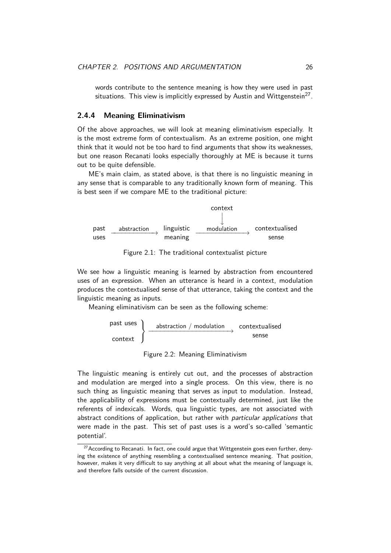words contribute to the sentence meaning is how they were used in past situations. This view is implicitly expressed by Austin and Wittgenstein $^{27}$ .

#### <span id="page-26-2"></span>**2.4.4 Meaning Eliminativism**

<span id="page-26-0"></span>Of the above approaches, we will look at meaning eliminativism especially. [It](#page-26-1) is the most extreme form of contextualism. As an extreme position, one might think that it would not be too hard to find arguments that show its weaknesses, but one reason Recanati looks especially thoroughly at ME is because it turns out to be quite defensible.

ME's main claim, as stated above, is that there is no linguistic meaning in any sense that is comparable to any traditionally known form of meaning. This is best seen if we compare ME to the traditional picture:



Figure 2.1: The traditional contextualist picture

We see how a linguistic meaning is learned by abstraction from encountered uses of an expression. When an utterance is heard in a context, modulation produces the contextualised sense of that utterance, taking the context and the linguistic meaning as inputs.

Meaning eliminativism can be seen as the following scheme:

$$
\left.\begin{array}{c} \text{past uses} \\ \text{context} \end{array}\right\} \xrightarrow{\text{abstraction / modulation}} \begin{array}{c} \text{context} \\ \text{sense} \end{array}
$$

Figure 2.2: Meaning Eliminativism

The linguistic meaning is entirely cut out, and the processes of abstraction and modulation are merged into a single process. On this view, there is no such thing as linguistic meaning that serves as input to modulation. Instead, the applicability of expressions must be contextually determined, just like the referents of indexicals. Words, qua linguistic types, are not associated with abstract conditions of application, but rather with *particular applications* that were made in the past. This set of past uses is a word's so-called 'semantic potential'.

<span id="page-26-1"></span> $27$  According to Recanati. In fact, one could argue that Wittgenstein goes even further, denying the existence of anything resembling a contextualised sentence meaning. That position, however, makes it very difficult to say anything at all about what the meaning of language is, and therefore falls outside of the current discussion.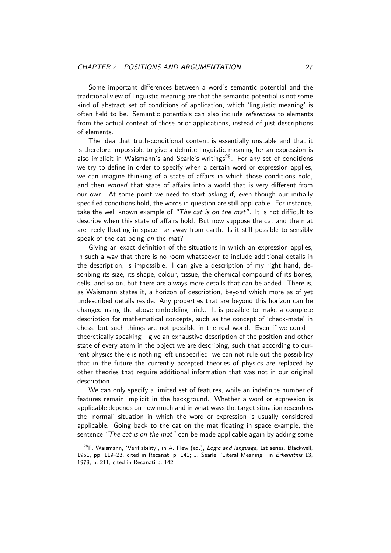<span id="page-27-1"></span>Some important differences between a word's semantic potential and the traditional view of linguistic meaning are that the semantic potential is not some kind of abstract set of conditions of application, which 'linguistic meaning' is often held to be. Semantic potentials can also include references to elements from the actual context of those prior applications, instead of just descriptions of elements.

The idea that truth-conditional content is essentially unstable and that it is therefore impossible to give a definite linguistic meaning for an expression is also implicit in Waismann's and Searle's writings<sup>28</sup>. For any set of conditions we try to define in order to specify when a certain word or expression applies, we can imagine thinking of a state of affairs in which those conditions hold, and then embed that state of affairs into a wor[ld](#page-27-0) that is very different from our own. At some point we need to start asking if, even though our initially specified conditions hold, the words in question are still applicable. For instance, take the well known example of "The cat is on the mat". It is not difficult to describe when this state of affairs hold. But now suppose the cat and the mat are freely floating in space, far away from earth. Is it still possible to sensibly speak of the cat being on the mat?

Giving an exact definition of the situations in which an expression applies, in such a way that there is no room whatsoever to include additional details in the description, is impossible. I can give a description of my right hand, describing its size, its shape, colour, tissue, the chemical compound of its bones, cells, and so on, but there are always more details that can be added. There is, as Waismann states it, a horizon of description, beyond which more as of yet undescribed details reside. Any properties that are beyond this horizon can be changed using the above embedding trick. It is possible to make a complete description for mathematical concepts, such as the concept of 'check-mate' in chess, but such things are not possible in the real world. Even if we could theoretically speaking—give an exhaustive description of the position and other state of every atom in the object we are describing, such that according to current physics there is nothing left unspecified, we can not rule out the possibility that in the future the currently accepted theories of physics are replaced by other theories that require additional information that was not in our original description.

We can only specify a limited set of features, while an indefinite number of features remain implicit in the background. Whether a word or expression is applicable depends on how much and in what ways the target situation resembles the 'normal' situation in which the word or expression is usually considered applicable. Going back to the cat on the mat floating in space example, the sentence "The cat is on the mat" can be made applicable again by adding some

<span id="page-27-0"></span> $28$ F. Waismann, 'Verifiability', in A. Flew (ed.), Logic and language, 1st series, Blackwell, 1951, pp. 119-23, cited in Recanati p. 141; J. Searle, 'Literal Meaning', in Erkenntnis 13, 1978, p. 211, cited in Recanati p. 142.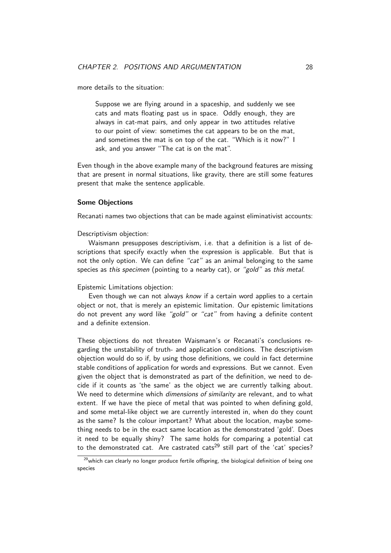<span id="page-28-0"></span>more details to the situation:

Suppose we are flying around in a spaceship, and suddenly we see cats and mats floating past us in space. Oddly enough, they are always in cat-mat pairs, and only appear in two attitudes relative to our point of view: sometimes the cat appears to be on the mat, and sometimes the mat is on top of the cat. "Which is it now?" I ask, and you answer "The cat is on the mat".

Even though in the above example many of the background features are missing that are present in normal situations, like gravity, there are still some features present that make the sentence applicable.

#### **Some Objections**

Recanati names two objections that can be made against eliminativist accounts:

Descriptivism objection:

Waismann presupposes descriptivism, i.e. that a definition is a list of descriptions that specify exactly when the expression is applicable. But that is not the only option. We can define "cat" as an animal belonging to the same species as this specimen (pointing to a nearby cat), or "gold" as this metal.

Epistemic Limitations objection:

Even though we can not always know if a certain word applies to a certain object or not, that is merely an epistemic limitation. Our epistemic limitations do not prevent any word like "gold" or "cat" from having a definite content and a definite extension.

These objections do not threaten Waismann's or Recanati's conclusions regarding the unstability of truth- and application conditions. The descriptivism objection would do so if, by using those definitions, we could in fact determine stable conditions of application for words and expressions. But we cannot. Even given the object that is demonstrated as part of the definition, we need to decide if it counts as 'the same' as the object we are currently talking about. We need to determine which dimensions of similarity are relevant, and to what extent. If we have the piece of metal that was pointed to when defining gold, and some metal-like object we are currently interested in, when do they count as the same? Is the colour important? What about the location, maybe something needs to be in the exact same location as the demonstrated 'gold'. Does it need to be equally shiny? The same holds for comparing a potential cat to the demonstrated cat. Are castrated cats<sup>29</sup> still part of the 'cat' species?

<sup>&</sup>lt;sup>29</sup>which can clearly no longer produce fertile offspring, the biological definition of being one species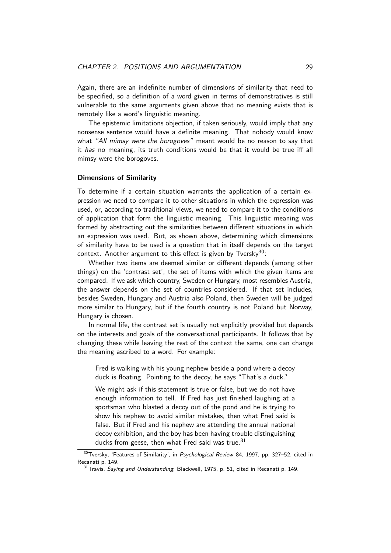<span id="page-29-2"></span>Again, there are an indefinite number of dimensions of similarity that need to be specified, so a definition of a word given in terms of demonstratives is still vulnerable to the same arguments given above that no meaning exists that is remotely like a word's linguistic meaning.

The epistemic limitations objection, if taken seriously, would imply that any nonsense sentence would have a definite meaning. That nobody would know what "All mimsy were the borogoves" meant would be no reason to say that it has no meaning, its truth conditions would be that it would be true iff all mimsy were the borogoves.

#### **Dimensions of Similarity**

To determine if a certain situation warrants the application of a certain expression we need to compare it to other situations in which the expression was used, or, according to traditional views, we need to compare it to the conditions of application that form the linguistic meaning. This linguistic meaning was formed by abstracting out the similarities between different situations in which an expression was used. But, as shown above, determining which dimensions of similarity have to be used is a question that in itself depends on the target context. Another argument to this effect is given by Tversky<sup>30</sup>:

Whether two items are deemed similar or different depends (among other things) on the 'contrast set', the set of items with which the given items are compared. If we ask which country, Sweden or Hungary, most [re](#page-29-0)sembles Austria, the answer depends on the set of countries considered. If that set includes, besides Sweden, Hungary and Austria also Poland, then Sweden will be judged more similar to Hungary, but if the fourth country is not Poland but Norway, Hungary is chosen.

In normal life, the contrast set is usually not explicitly provided but depends on the interests and goals of the conversational participants. It follows that by changing these while leaving the rest of the context the same, one can change the meaning ascribed to a word. For example:

Fred is walking with his young nephew beside a pond where a decoy duck is floating. Pointing to the decoy, he says "That's a duck."

We might ask if this statement is true or false, but we do not have enough information to tell. If Fred has just finished laughing at a sportsman who blasted a decoy out of the pond and he is trying to show his nephew to avoid similar mistakes, then what Fred said is false. But if Fred and his nephew are attending the annual national decoy exhibition, and the boy has been having trouble distinguishing ducks from geese, then what Fred said was true.  $31$ 

 $30$ Tversky, 'Features of Similarity', in Psychological Review 84, 1997, pp. 327–52, cited in Recanati p. 149.

<span id="page-29-1"></span><span id="page-29-0"></span> $31$ Travis, Saying and Understanding, Blackwell, 1975, p. 51, c[ited](#page-29-1) in Recanati p. 149.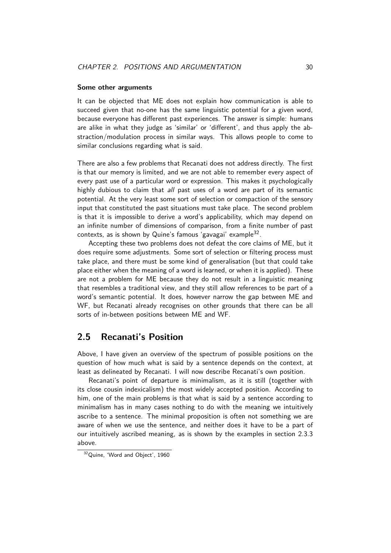#### **Some other arguments**

<span id="page-30-2"></span>It can be objected that ME does not explain how communication is able to succeed given that no-one has the same linguistic potential for a given word, because everyone has different past experiences. The answer is simple: humans are alike in what they judge as 'similar' or 'different', and thus apply the abstraction/modulation process in similar ways. This allows people to come to similar conclusions regarding what is said.

There are also a few problems that Recanati does not address directly. The first is that our memory is limited, and we are not able to remember every aspect of every past use of a particular word or expression. This makes it psychologically highly dubious to claim that all past uses of a word are part of its semantic potential. At the very least some sort of selection or compaction of the sensory input that constituted the past situations must take place. The second problem is that it is impossible to derive a word's applicability, which may depend on an infinite number of dimensions of comparison, from a finite number of past contexts, as is shown by Quine's famous 'gavagai' example<sup>32</sup>.

Accepting these two problems does not defeat the core claims of ME, but it does require some adjustments. Some sort of selection or filtering process must take place, and there must be some kind of generalisation [\(bu](#page-30-1)t that could take place either when the meaning of a word is learned, or when it is applied). These are not a problem for ME because they do not result in a linguistic meaning that resembles a traditional view, and they still allow references to be part of a word's semantic potential. It does, however narrow the gap between ME and WF, but Recanati already recognises on other grounds that there can be all sorts of in-between positions between ME and WF.

### **2.5 Recanati's Position**

<span id="page-30-0"></span>Above, I have given an overview of the spectrum of possible positions on the question of how much what is said by a sentence depends on the context, at least as delineated by Recanati. I will now describe Recanati's own position.

Recanati's point of departure is minimalism, as it is still (together with its close cousin indexicalism) the most widely accepted position. According to him, one of the main problems is that what is said by a sentence according to minimalism has in many cases nothing to do with the meaning we intuitively ascribe to a sentence. The minimal proposition is often not something we are aware of when we use the sentence, and neither does it have to be a part of our intuitively ascribed meaning, as is shown by the examples in section 2.3.3 above.

<span id="page-30-1"></span><sup>32</sup>Quine, 'Word and Object', 1960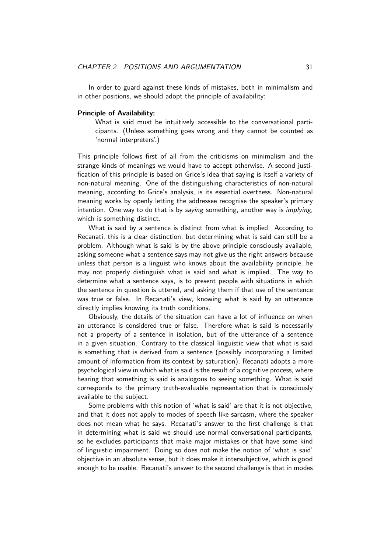<span id="page-31-0"></span>In order to guard against these kinds of mistakes, both in minimalism and in other positions, we should adopt the principle of availability:

#### **Principle of Availability:**

What is said must be intuitively accessible to the conversational participants. (Unless something goes wrong and they cannot be counted as 'normal interpreters'.)

This principle follows first of all from the criticisms on minimalism and the strange kinds of meanings we would have to accept otherwise. A second justification of this principle is based on Grice's idea that saying is itself a variety of non-natural meaning. One of the distinguishing characteristics of non-natural meaning, according to Grice's analysis, is its essential overtness. Non-natural meaning works by openly letting the addressee recognise the speaker's primary intention. One way to do that is by *saying* something, another way is *implying*, which is something distinct.

What is said by a sentence is distinct from what is implied. According to Recanati, this is a clear distinction, but determining what is said can still be a problem. Although what is said is by the above principle consciously available, asking someone what a sentence says may not give us the right answers because unless that person is a linguist who knows about the availability principle, he may not properly distinguish what is said and what is implied. The way to determine what a sentence says, is to present people with situations in which the sentence in question is uttered, and asking them if that use of the sentence was true or false. In Recanati's view, knowing what is said by an utterance directly implies knowing its truth conditions.

Obviously, the details of the situation can have a lot of influence on when an utterance is considered true or false. Therefore what is said is necessarily not a property of a sentence in isolation, but of the utterance of a sentence in a given situation. Contrary to the classical linguistic view that what is said is something that is derived from a sentence (possibly incorporating a limited amount of information from its context by saturation), Recanati adopts a more psychological view in which what is said is the result of a cognitive process, where hearing that something is said is analogous to seeing something. What is said corresponds to the primary truth-evaluable representation that is consciously available to the subject.

Some problems with this notion of 'what is said' are that it is not objective, and that it does not apply to modes of speech like sarcasm, where the speaker does not mean what he says. Recanati's answer to the first challenge is that in determining what is said we should use normal conversational participants, so he excludes participants that make major mistakes or that have some kind of linguistic impairment. Doing so does not make the notion of 'what is said' objective in an absolute sense, but it does make it intersubjective, which is good enough to be usable. Recanati's answer to the second challenge is that in modes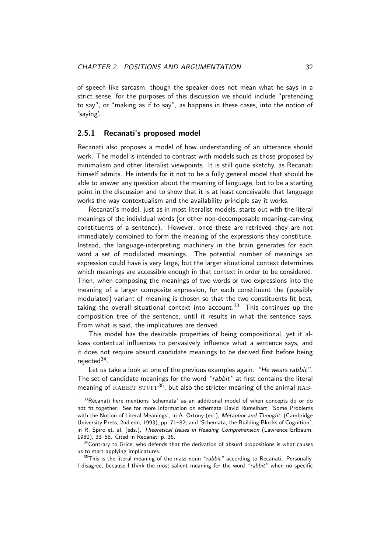#### <span id="page-32-4"></span>**2.5.1 Recanati's proposed model**

<span id="page-32-0"></span>Recanati also proposes a model of how understanding of an utterance should work. The model is intended to contrast with models such as those proposed by minimalism and other literalist viewpoints. It is still quite sketchy, as Recanati himself admits. He intends for it not to be a fully general model that should be able to answer any question about the meaning of language, but to be a starting point in the discussion and to show that it is at least conceivable that language works the way contextualism and the availability principle say it works.

Recanati's model, just as in most literalist models, starts out with the literal meanings of the individual words (or other non-decomposable meaning-carrying constituents of a sentence). However, once these are retrieved they are not immediately combined to form the meaning of the expressions they constitute. Instead, the language-interpreting machinery in the brain generates for each word a set of modulated meanings. The potential number of meanings an expression could have is very large, but the larger situational context determines which meanings are accessible enough in that context in order to be considered. Then, when composing the meanings of two words or two expressions into the meaning of a larger composite expression, for each constituent the (possibly modulated) variant of meaning is chosen so that the two constituents fit best, taking the overall situational context into account.<sup>33</sup> This continues up the composition tree of the sentence, until it results in what the sentence says. From what is said, the implicatures are derived.

This model has the desirable properties of bein[g](#page-32-1) compositional, yet it allows contextual influences to pervasively influence what a sentence says, and it does not require absurd candidate meanings to be derived first before being rejected<sup>34</sup>.

Let us take a look at one of the previous examples again: "He wears rabbit". The set of candidate meanings for the word "rabbit" at first contains the literal meanin[g o](#page-32-2)f RABBIT STUFF<sup>35</sup>, but also the stricter meaning of the animal RAB-

 $33$ Recanati here mentions 'schemata' as an additional model of when concepts do or do not fit together. See for more information on schemata David Rumelhart, 'Some Problems with the Notion of Literal Mean[ing](#page-32-3)s', in A. Ortony (ed.), Metaphor and Thought, (Cambridge University Press, 2nd edn, 1993), pp. 71–82; and 'Schemata, the Building Blocks of Cognition', in R. Spiro et. al. (eds.), Theoretical Issues in Reading Comprehension (Lawrence Erlbaum, 1980), 33–58. Cited in Recanati p. 36.

<span id="page-32-1"></span> $34$ Contrary to Grice, who defends that the derivation of absurd propositions is what causes us to start applying implicatures.

<span id="page-32-3"></span><span id="page-32-2"></span> $35$ This is the literal meaning of the mass noun "rabbit" according to Recanati. Personally, I disagree, because I think the most salient meaning for the word "rabbit" when no specific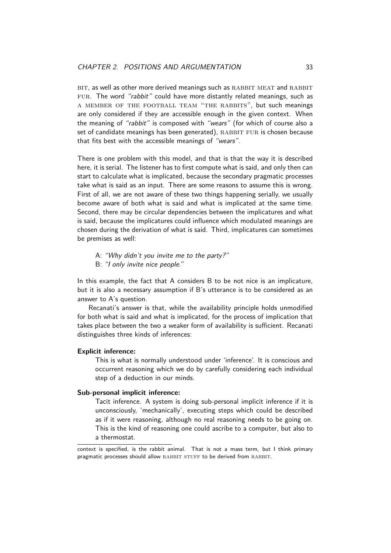<span id="page-33-0"></span>BIT, as well as other more derived meanings such as RABBIT MEAT and RABBIT FUR. The word "rabbit" could have more distantly related meanings, such as a member of the football team "the rabbits", but such meanings are only considered if they are accessible enough in the given context. When the meaning of "rabbit" is composed with "wears" (for which of course also a set of candidate meanings has been generated), RABBIT FUR is chosen because that fits best with the accessible meanings of "wears".

There is one problem with this model, and that is that the way it is described here, it is serial. The listener has to first compute what is said, and only then can start to calculate what is implicated, because the secondary pragmatic processes take what is said as an input. There are some reasons to assume this is wrong. First of all, we are not aware of these two things happening serially, we usually become aware of both what is said and what is implicated at the same time. Second, there may be circular dependencies between the implicatures and what is said, because the implicatures could influence which modulated meanings are chosen during the derivation of what is said. Third, implicatures can sometimes be premises as well:

- A: "Why didn't you invite me to the party?"
- B: "I only invite nice people."

In this example, the fact that A considers B to be not nice is an implicature, but it is also a necessary assumption if B's utterance is to be considered as an answer to A's question.

Recanati's answer is that, while the availability principle holds unmodified for both what is said and what is implicated, for the process of implication that takes place between the two a weaker form of availability is sufficient. Recanati distinguishes three kinds of inferences:

#### **Explicit inference:**

This is what is normally understood under 'inference'. It is conscious and occurrent reasoning which we do by carefully considering each individual step of a deduction in our minds.

#### **Sub-personal implicit inference:**

Tacit inference. A system is doing sub-personal implicit inference if it is unconsciously, 'mechanically', executing steps which could be described as if it were reasoning, although no real reasoning needs to be going on. This is the kind of reasoning one could ascribe to a computer, but also to a thermostat.

context is specified, is the rabbit animal. That is not a mass term, but I think primary pragmatic processes should allow RABBIT STUFF to be derived from RABBIT.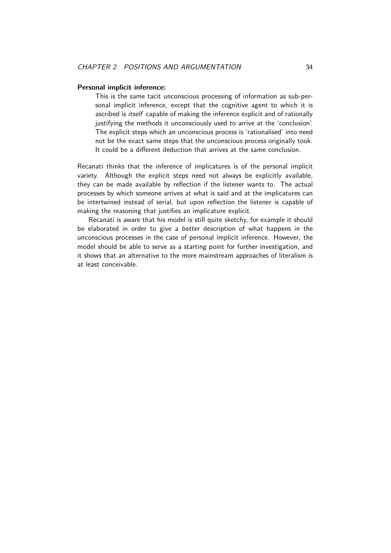#### **Personal implicit inference:**

This is the same tacit unconscious processing of information as sub-personal implicit inference, except that the cognitive agent to which it is ascribed is itself capable of making the inference explicit and of rationally justifying the methods it unconsciously used to arrive at the 'conclusion'. The explicit steps which an unconscious process is 'rationalised' into need not be the exact same steps that the unconscious process originally took. It could be a different deduction that arrives at the same conclusion.

Recanati thinks that the inference of implicatures is of the personal implicit variety. Although the explicit steps need not always be explicitly available, they can be made available by reflection if the listener wants to. The actual processes by which someone arrives at what is said and at the implicatures can be intertwined instead of serial, but upon reflection the listener is capable of making the reasoning that justifies an implicature explicit.

Recanati is aware that his model is still quite sketchy, for example it should be elaborated in order to give a better description of what happens in the unconscious processes in the case of personal implicit inference. However, the model should be able to serve as a starting point for further investigation, and it shows that an alternative to the more mainstream approaches of literalism is at least conceivable.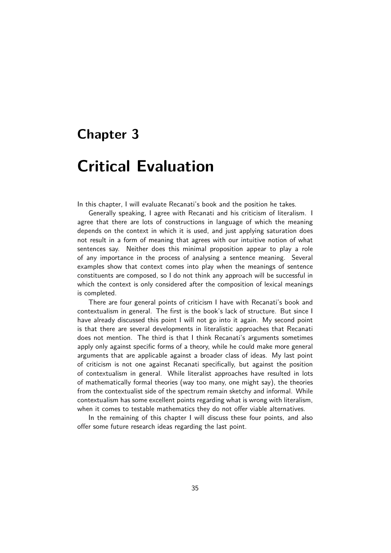## <span id="page-35-1"></span><span id="page-35-0"></span>**Chapter 3**

## **Critical Evaluation**

In this chapter, I will evaluate Recanati's book and the position he takes.

Generally speaking, I agree with Recanati and his criticism of literalism. I agree that there are lots of constructions in language of which the meaning depends on the context in which it is used, and just applying saturation does not result in a form of meaning that agrees with our intuitive notion of what sentences say. Neither does this minimal proposition appear to play a role of any importance in the process of analysing a sentence meaning. Several examples show that context comes into play when the meanings of sentence constituents are composed, so I do not think any approach will be successful in which the context is only considered after the composition of lexical meanings is completed.

There are four general points of criticism I have with Recanati's book and contextualism in general. The first is the book's lack of structure. But since I have already discussed this point I will not go into it again. My second point is that there are several developments in literalistic approaches that Recanati does not mention. The third is that I think Recanati's arguments sometimes apply only against specific forms of a theory, while he could make more general arguments that are applicable against a broader class of ideas. My last point of criticism is not one against Recanati specifically, but against the position of contextualism in general. While literalist approaches have resulted in lots of mathematically formal theories (way too many, one might say), the theories from the contextualist side of the spectrum remain sketchy and informal. While contextualism has some excellent points regarding what is wrong with literalism, when it comes to testable mathematics they do not offer viable alternatives.

In the remaining of this chapter I will discuss these four points, and also offer some future research ideas regarding the last point.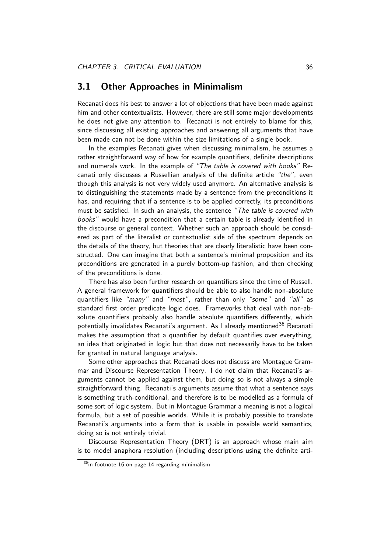### **3.1 Other Approaches in Minimalism**

<span id="page-36-1"></span>Recanati does his best to answer a lot of objections that have been made against him and other contextualists. However, there are still some major developments he does not give any attention to. Recanati is not entirely to blame for this, since discussing all existing approaches and answering all arguments that have been made can not be done within the size limitations of a single book.

In the examples Recanati gives when discussing minimalism, he assumes a rather straightforward way of how for example quantifiers, definite descriptions and numerals work. In the example of "The table is covered with books" Recanati only discusses a Russellian analysis of the definite article "the", even though this analysis is not very widely used anymore. An alternative analysis is to distinguishing the statements made by a sentence from the preconditions it has, and requiring that if a sentence is to be applied correctly, its preconditions must be satisfied. In such an analysis, the sentence "The table is covered with books" would have a precondition that a certain table is already identified in the discourse or general context. Whether such an approach should be considered as part of the literalist or contextualist side of the spectrum depends on the details of the theory, but theories that are clearly literalistic have been constructed. One can imagine that both a sentence's minimal proposition and its preconditions are generated in a purely bottom-up fashion, and then checking of the preconditions is done.

There has also been further research on quantifiers since the time of Russell. A general framework for quantifiers should be able to also handle non-absolute quantifiers like "many" and "most", rather than only "some" and "all" as standard first order predicate logic does. Frameworks that deal with non-absolute quantifiers probably also handle absolute quantifiers differently, which potentially invalidates Recanati's argument. As I already mentioned<sup>36</sup> Recanati makes the assumption that a quantifier by default quantifies over everything, an idea that originated in logic but that does not necessarily have to be taken for granted in natural language analysis.

Some other approaches that Recanati does not discuss are Mont[ag](#page-36-0)ue Grammar and Discourse Representation Theory. I do not claim that Recanati's arguments cannot be applied against them, but doing so is not always a simple straightforward thing. Recanati's arguments assume that what a sentence says is something truth-conditional, and therefore is to be modelled as a formula of some sort of logic system. But in Montague Grammar a meaning is not a logical formula, but a set of possible worlds. While it is probably possible to translate Recanati's arguments into a form that is usable in possible world semantics, doing so is not entirely trivial.

Discourse Representation Theory (DRT) is an approach whose main aim is to model anaphora resolution (including descriptions using the definite arti-

<span id="page-36-0"></span> $36$ in footnote 16 on page 14 regarding minimalism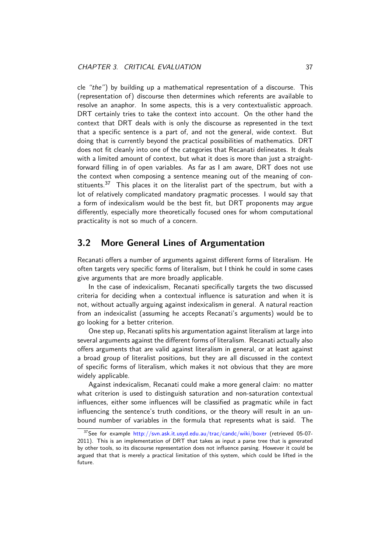<span id="page-37-1"></span>cle "the") by building up a mathematical representation of a discourse. This (representation of) discourse then determines which referents are available to resolve an anaphor. In some aspects, this is a very contextualistic approach. DRT certainly tries to take the context into account. On the other hand the context that DRT deals with is only the discourse as represented in the text that a specific sentence is a part of, and not the general, wide context. But doing that is currently beyond the practical possibilities of mathematics. DRT does not fit cleanly into one of the categories that Recanati delineates. It deals with a limited amount of context, but what it does is more than just a straightforward filling in of open variables. As far as I am aware, DRT does not use the context when composing a sentence meaning out of the meaning of constituents.<sup>37</sup> This places it on the literalist part of the spectrum, but with a lot of relatively complicated mandatory pragmatic processes. I would say that a form of indexicalism would be the best fit, but DRT proponents may argue differentl[y,](#page-37-0) especially more theoretically focused ones for whom computational practicality is not so much of a concern.

### **3.2 More General Lines of Argumentation**

Recanati offers a number of arguments against different forms of literalism. He often targets very specific forms of literalism, but I think he could in some cases give arguments that are more broadly applicable.

In the case of indexicalism, Recanati specifically targets the two discussed criteria for deciding when a contextual influence is saturation and when it is not, without actually arguing against indexicalism in general. A natural reaction from an indexicalist (assuming he accepts Recanati's arguments) would be to go looking for a better criterion.

One step up, Recanati splits his argumentation against literalism at large into several arguments against the different forms of literalism. Recanati actually also offers arguments that are valid against literalism in general, or at least against a broad group of literalist positions, but they are all discussed in the context of specific forms of literalism, which makes it not obvious that they are more widely applicable.

Against indexicalism, Recanati could make a more general claim: no matter what criterion is used to distinguish saturation and non-saturation contextual influences, either some influences will be classified as pragmatic while in fact influencing the sentence's truth conditions, or the theory will result in an unbound number of variables in the formula that represents what is said. The

<span id="page-37-0"></span> $37$ See for example http://svn.ask.it.usyd.edu.au/trac/candc/wiki/boxer (retrieved 05-07-2011). This is an implementation of DRT that takes as input a parse tree that is generated by other tools, so its discourse representation does not influence parsing. However it could be argued that that is merely a practical limitation of this system, which could be lifted in the future.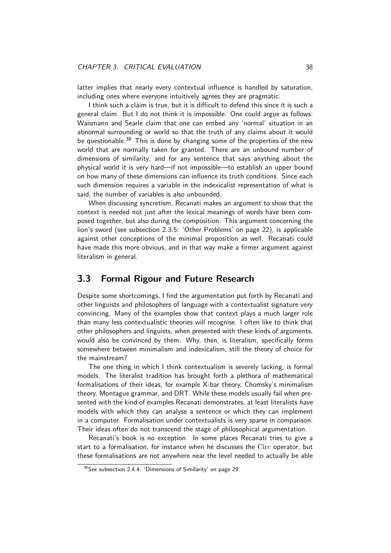latter implies that nearly every contextual influence is handled by saturation, including ones where everyone intuitively agrees they are pragmatic.

<span id="page-38-1"></span>I think such a claim is true, but it is difficult to defend this since it is such a general claim. But I do not think it is impossible. One could argue as follows: Waismann and Searle claim that one can embed any 'normal' situation in an abnormal surrounding or world so that the truth of any claims about it would be questionable.<sup>38</sup> This is done by changing some of the properties of the new world that are normally taken for granted. There are an unbound number of dimensions of similarity, and for any sentence that says anything about the physical world i[t is](#page-38-0) very hard—if not impossible—to establish an upper bound on how many of these dimensions can influence its truth conditions. Since each such dimension requires a variable in the indexicalist representation of what is said, the number of variables is also unbounded.

When discussing syncretism, Recanati makes an argument to show that the context is needed not just after the lexical meanings of words have been composed together, but also during the composition. This argument concerning the lion's sword (see subsection 2.3.5: 'Other Problems' on page 22), is applicable against other conceptions of the minimal proposition as well. Recanati could have made this more obvious, and in that way make a firmer argument against literalism in gene[ral.](#page-22-0)

### **3.3 Formal Rigour and Future Research**

Despite some shortcomings, I find the argumentation put forth by Recanati and other linguists and philosophers of language with a contextualist signature very convincing. Many of the examples show that context plays a much larger role than many less contextualistic theories will recognise. I often like to think that other philosophers and linguists, when presented with these kinds of arguments, would also be convinced by them. Why, then, is literalism, specifically forms somewhere between minimalism and indexicalism, still the theory of choice for the mainstream?

The one thing in which I think contextualism is severely lacking, is formal models. The literalist tradition has brought forth a plethora of mathematical formalisations of their ideas, for example X-bar theory, Chomsky's minimalism theory, Montague grammar, and DRT. While these models usually fail when presented with the kind of examples Recanati demonstrates, at least literalists have models with which they can analyse a sentence or which they can implement in a computer. Formalisation under contextualists is very sparse in comparison. Their ideas often do not transcend the stage of philosophical argumentation.

Recanati's book is no exception. In some places Recanati tries to give a start to a formalisation, for instance when he discusses the Circ operator, but these formalisations are not anywhere near the level needed to actually be able

<span id="page-38-0"></span><sup>38</sup>See subsection 2.4.4: 'Dimensions of Similarity' on page 29.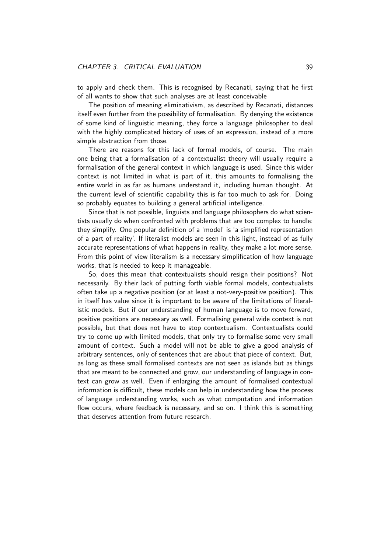<span id="page-39-0"></span>to apply and check them. This is recognised by Recanati, saying that he first of all wants to show that such analyses are at least conceivable

The position of meaning eliminativism, as described by Recanati, distances itself even further from the possibility of formalisation. By denying the existence of some kind of linguistic meaning, they force a language philosopher to deal with the highly complicated history of uses of an expression, instead of a more simple abstraction from those.

There are reasons for this lack of formal models, of course. The main one being that a formalisation of a contextualist theory will usually require a formalisation of the general context in which language is used. Since this wider context is not limited in what is part of it, this amounts to formalising the entire world in as far as humans understand it, including human thought. At the current level of scientific capability this is far too much to ask for. Doing so probably equates to building a general artificial intelligence.

Since that is not possible, linguists and language philosophers do what scientists usually do when confronted with problems that are too complex to handle: they simplify. One popular definition of a 'model' is 'a simplified representation of a part of reality'. If literalist models are seen in this light, instead of as fully accurate representations of what happens in reality, they make a lot more sense. From this point of view literalism is a necessary simplification of how language works, that is needed to keep it manageable.

So, does this mean that contextualists should resign their positions? Not necessarily. By their lack of putting forth viable formal models, contextualists often take up a negative position (or at least a not-very-positive position). This in itself has value since it is important to be aware of the limitations of literalistic models. But if our understanding of human language is to move forward, positive positions are necessary as well. Formalising general wide context is not possible, but that does not have to stop contextualism. Contextualists could try to come up with limited models, that only try to formalise some very small amount of context. Such a model will not be able to give a good analysis of arbitrary sentences, only of sentences that are about that piece of context. But, as long as these small formalised contexts are not seen as islands but as things that are meant to be connected and grow, our understanding of language in context can grow as well. Even if enlarging the amount of formalised contextual information is difficult, these models can help in understanding how the process of language understanding works, such as what computation and information flow occurs, where feedback is necessary, and so on. I think this is something that deserves attention from future research.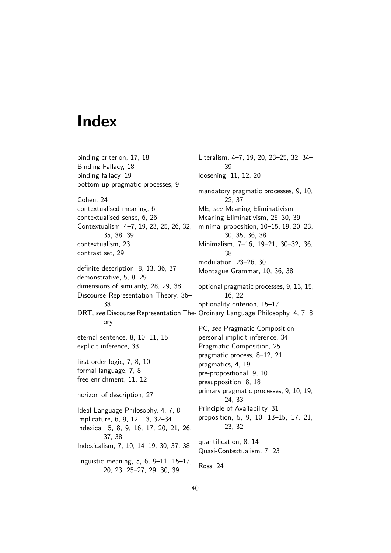## **Index**

binding criterion, 17, 18 Binding Fallacy, 18 binding fallacy, 19 bottom-up pragm[atic](#page-17-1) [pr](#page-18-0)ocesses, 9 Cohen, 24 contextualised [mea](#page-19-1)ning, 6 contextualised sense, 6, 26 Contextualism, 4–7, 19, 23, 25, 26, 32, [35](#page-24-1), 38, 39 contextualism, 23 contrast set, 29 definite [des](#page-35-1)c[rip](#page-38-1)ti[on,](#page-39-0) 8, 13, 36, 37 demonstrative, [5,](#page-23-3) 8, 29 dimensions o[f si](#page-29-2)milarity, 28, 29, 38 Discourse Represent[at](#page-8-2)i[on](#page-13-5) [The](#page-36-1)[ory,](#page-37-1) 36– 38 DRT, see Disco[ur](#page-5-2)[se](#page-8-2) [Rep](#page-29-2)r[ese](#page-28-0)[ntat](#page-29-2)i[on](#page-38-1) The-Ordinary Language Philosophy, 4, 7, 8 ory eternal sentence, 8, 10, 11, 15 explicit inference, 33 first order logic, 7, 8, 10 formal language, [7,](#page-8-2) [8](#page-10-2) free enrichment, 1[1,](#page-33-0) 12 horizon of descri[pt](#page-7-2)i[on](#page-8-2), [27](#page-10-2) Ideal Language [Phil](#page-11-2)[osop](#page-12-1)hy, 4, 7, 8 implicature, 6, 9, 12, 13, 32–34 indexical, 5, 8, 9, 16, [17,](#page-27-1) 20, 21, 26, 37, 38 Indexicalism, 7, 10, 14–19, [30](#page-4-4), [3](#page-7-2)[7,](#page-8-2) 38 linguistic [m](#page-5-2)e[an](#page-8-2)i[ng](#page-9-0), [5,](#page-16-2) [6,](#page-17-1) 9[–11](#page-20-0), [15](#page-21-0)[–17](#page-26-2), [20,](#page-37-1) [23](#page-38-1), 25–27, 29, 30, 39

Literalism, 4–7, 19, 20, 23–25, 32, 34– 39 loosening, 11, 12, 20 mandatory prag[ma](#page-19-1)t[ic p](#page-20-0)rocesse[s,](#page-32-4) 9, 10, 22, 37 ME, see [Mea](#page-11-2)n[ing](#page-12-1) [Eli](#page-20-0)minativism Meaning Eliminativism, 25–30, 39 minimal proposition, 10–15, 19, [20](#page-9-0), [23](#page-10-2), [30,](#page-22-1) [35](#page-37-1), 36, 38 Minimalism, 7–16, 19–21, 30–32, 36, 38 modulation, 23–26, 30 Montag[ue G](#page-30-2)[ram](#page-35-1)[ma](#page-36-1)r, [1](#page-38-1)0, 36, 38 optional [pra](#page-38-1)gmatic processes, 9, 13, 15, 16, 22 optionality criterion, [15–](#page-10-2)[17](#page-36-1) PC, see [Pra](#page-16-2)[gm](#page-22-1)atic Composition personal implicit inference, 34 Pragmatic Composition, 25 pragmatic process, 8–12, 21 pragmatics, 4, 19 pre-propositional, 9, 10 presupposition, 8, 18 primary pragmatic proces[ses,](#page-21-0) 9, 10, 19, 24, [3](#page-4-4)[3](#page-19-1) Principle of Avail[ab](#page-9-0)il[ity,](#page-10-2) 31 proposition, 5, [9](#page-8-2), [10](#page-18-0), 13–15, 17, 21, [23,](#page-24-1) [32](#page-33-0) quantification, 8, 14 Quasi-Conte[xt](#page-5-2)u[al](#page-9-0)is[m,](#page-10-2) 7, 23 Ross, 24